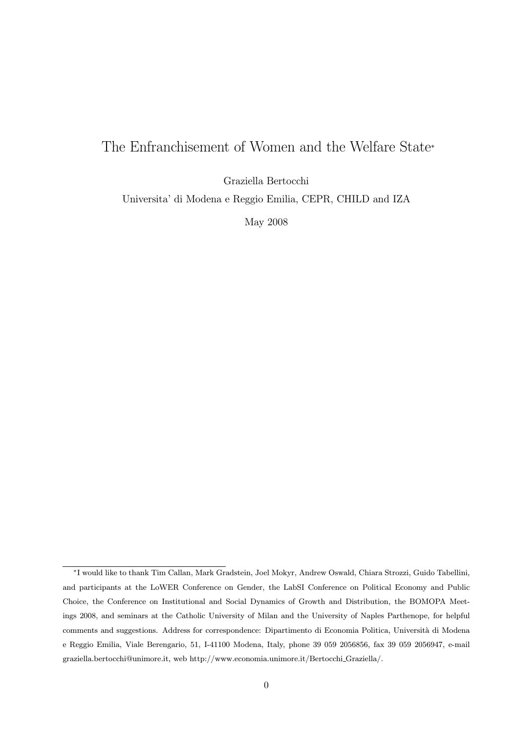# The Enfranchisement of Women and the Welfare State<sup>∗</sup>

Graziella Bertocchi

Universita' di Modena e Reggio Emilia, CEPR, CHILD and IZA

May 2008

<sup>∗</sup>I would like to thank Tim Callan, Mark Gradstein, Joel Mokyr, Andrew Oswald, Chiara Strozzi, Guido Tabellini, and participants at the LoWER Conference on Gender, the LabSI Conference on Political Economy and Public Choice, the Conference on Institutional and Social Dynamics of Growth and Distribution, the BOMOPA Meetings 2008, and seminars at the Catholic University of Milan and the University of Naples Parthenope, for helpful comments and suggestions. Address for correspondence: Dipartimento di Economia Politica, Università di Modena e Reggio Emilia, Viale Berengario, 51, I-41100 Modena, Italy, phone 39 059 2056856, fax 39 059 2056947, e-mail graziella.bertocchi@unimore.it, web http://www.economia.unimore.it/Bertocchi Graziella/.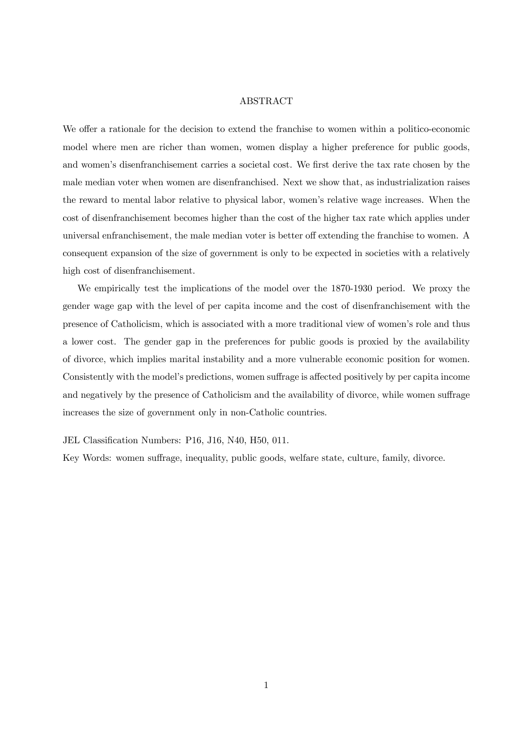### ABSTRACT

We offer a rationale for the decision to extend the franchise to women within a politico-economic model where men are richer than women, women display a higher preference for public goods, and women's disenfranchisement carries a societal cost. We first derive the tax rate chosen by the male median voter when women are disenfranchised. Next we show that, as industrialization raises the reward to mental labor relative to physical labor, women's relative wage increases. When the cost of disenfranchisement becomes higher than the cost of the higher tax rate which applies under universal enfranchisement, the male median voter is better off extending the franchise to women. A consequent expansion of the size of government is only to be expected in societies with a relatively high cost of disenfranchisement.

We empirically test the implications of the model over the 1870-1930 period. We proxy the gender wage gap with the level of per capita income and the cost of disenfranchisement with the presence of Catholicism, which is associated with a more traditional view of women's role and thus a lower cost. The gender gap in the preferences for public goods is proxied by the availability of divorce, which implies marital instability and a more vulnerable economic position for women. Consistently with the model's predictions, women suffrage is affected positively by per capita income and negatively by the presence of Catholicism and the availability of divorce, while women suffrage increases the size of government only in non-Catholic countries.

JEL Classification Numbers: P16, J16, N40, H50, 011.

Key Words: women suffrage, inequality, public goods, welfare state, culture, family, divorce.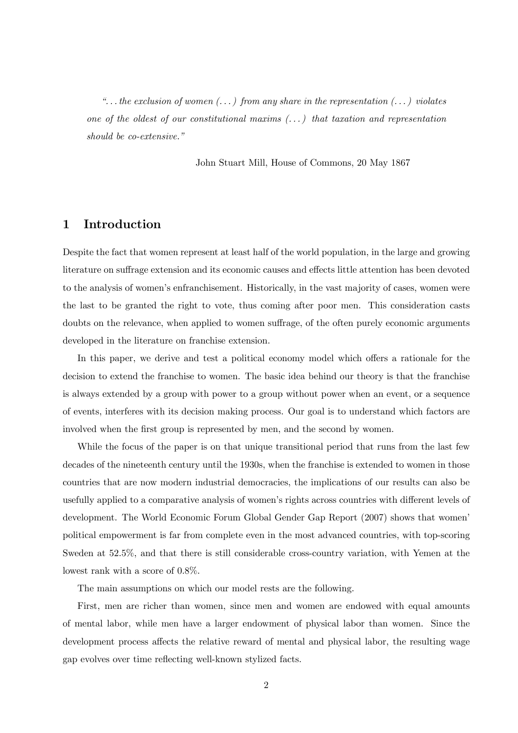"... the exclusion of women  $(\dots)$  from any share in the representation  $(\dots)$  violates one of the oldest of our constitutional maxims  $(\ldots)$  that taxation and representation should be co-extensive."

John Stuart Mill, House of Commons, 20 May 1867

### 1 Introduction

Despite the fact that women represent at least half of the world population, in the large and growing literature on suffrage extension and its economic causes and effects little attention has been devoted to the analysis of women's enfranchisement. Historically, in the vast majority of cases, women were the last to be granted the right to vote, thus coming after poor men. This consideration casts doubts on the relevance, when applied to women suffrage, of the often purely economic arguments developed in the literature on franchise extension.

In this paper, we derive and test a political economy model which offers a rationale for the decision to extend the franchise to women. The basic idea behind our theory is that the franchise is always extended by a group with power to a group without power when an event, or a sequence of events, interferes with its decision making process. Our goal is to understand which factors are involved when the first group is represented by men, and the second by women.

While the focus of the paper is on that unique transitional period that runs from the last few decades of the nineteenth century until the 1930s, when the franchise is extended to women in those countries that are now modern industrial democracies, the implications of our results can also be usefully applied to a comparative analysis of women's rights across countries with different levels of development. The World Economic Forum Global Gender Gap Report (2007) shows that women' political empowerment is far from complete even in the most advanced countries, with top-scoring Sweden at 52.5%, and that there is still considerable cross-country variation, with Yemen at the lowest rank with a score of 0.8%.

The main assumptions on which our model rests are the following.

First, men are richer than women, since men and women are endowed with equal amounts of mental labor, while men have a larger endowment of physical labor than women. Since the development process affects the relative reward of mental and physical labor, the resulting wage gap evolves over time reflecting well-known stylized facts.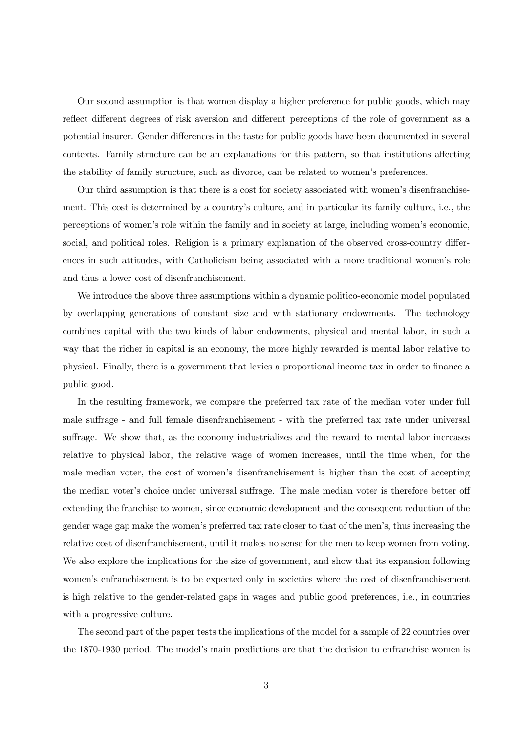Our second assumption is that women display a higher preference for public goods, which may reflect different degrees of risk aversion and different perceptions of the role of government as a potential insurer. Gender differences in the taste for public goods have been documented in several contexts. Family structure can be an explanations for this pattern, so that institutions affecting the stability of family structure, such as divorce, can be related to women's preferences.

Our third assumption is that there is a cost for society associated with women's disenfranchisement. This cost is determined by a country's culture, and in particular its family culture, i.e., the perceptions of women's role within the family and in society at large, including women's economic, social, and political roles. Religion is a primary explanation of the observed cross-country differences in such attitudes, with Catholicism being associated with a more traditional women's role and thus a lower cost of disenfranchisement.

We introduce the above three assumptions within a dynamic politico-economic model populated by overlapping generations of constant size and with stationary endowments. The technology combines capital with the two kinds of labor endowments, physical and mental labor, in such a way that the richer in capital is an economy, the more highly rewarded is mental labor relative to physical. Finally, there is a government that levies a proportional income tax in order to finance a public good.

In the resulting framework, we compare the preferred tax rate of the median voter under full male suffrage - and full female disenfranchisement - with the preferred tax rate under universal suffrage. We show that, as the economy industrializes and the reward to mental labor increases relative to physical labor, the relative wage of women increases, until the time when, for the male median voter, the cost of women's disenfranchisement is higher than the cost of accepting the median voter's choice under universal suffrage. The male median voter is therefore better off extending the franchise to women, since economic development and the consequent reduction of the gender wage gap make the women's preferred tax rate closer to that of the men's, thus increasing the relative cost of disenfranchisement, until it makes no sense for the men to keep women from voting. We also explore the implications for the size of government, and show that its expansion following women's enfranchisement is to be expected only in societies where the cost of disenfranchisement is high relative to the gender-related gaps in wages and public good preferences, i.e., in countries with a progressive culture.

The second part of the paper tests the implications of the model for a sample of 22 countries over the 1870-1930 period. The model's main predictions are that the decision to enfranchise women is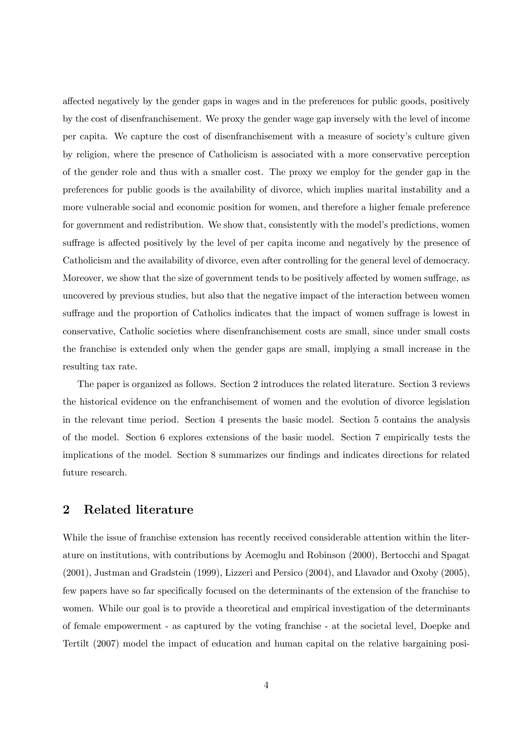affected negatively by the gender gaps in wages and in the preferences for public goods, positively by the cost of disenfranchisement. We proxy the gender wage gap inversely with the level of income per capita. We capture the cost of disenfranchisement with a measure of society's culture given by religion, where the presence of Catholicism is associated with a more conservative perception of the gender role and thus with a smaller cost. The proxy we employ for the gender gap in the preferences for public goods is the availability of divorce, which implies marital instability and a more vulnerable social and economic position for women, and therefore a higher female preference for government and redistribution. We show that, consistently with the model's predictions, women suffrage is affected positively by the level of per capita income and negatively by the presence of Catholicism and the availability of divorce, even after controlling for the general level of democracy. Moreover, we show that the size of government tends to be positively affected by women suffrage, as uncovered by previous studies, but also that the negative impact of the interaction between women suffrage and the proportion of Catholics indicates that the impact of women suffrage is lowest in conservative, Catholic societies where disenfranchisement costs are small, since under small costs the franchise is extended only when the gender gaps are small, implying a small increase in the resulting tax rate.

The paper is organized as follows. Section 2 introduces the related literature. Section 3 reviews the historical evidence on the enfranchisement of women and the evolution of divorce legislation in the relevant time period. Section 4 presents the basic model. Section 5 contains the analysis of the model. Section 6 explores extensions of the basic model. Section 7 empirically tests the implications of the model. Section 8 summarizes our findings and indicates directions for related future research.

# 2 Related literature

While the issue of franchise extension has recently received considerable attention within the literature on institutions, with contributions by Acemoglu and Robinson (2000), Bertocchi and Spagat (2001), Justman and Gradstein (1999), Lizzeri and Persico (2004), and Llavador and Oxoby (2005), few papers have so far specifically focused on the determinants of the extension of the franchise to women. While our goal is to provide a theoretical and empirical investigation of the determinants of female empowerment - as captured by the voting franchise - at the societal level, Doepke and Tertilt (2007) model the impact of education and human capital on the relative bargaining posi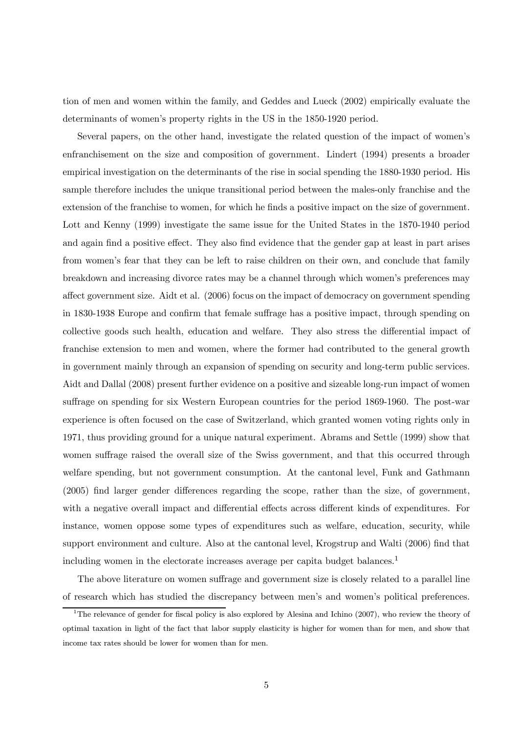tion of men and women within the family, and Geddes and Lueck (2002) empirically evaluate the determinants of women's property rights in the US in the 1850-1920 period.

Several papers, on the other hand, investigate the related question of the impact of women's enfranchisement on the size and composition of government. Lindert (1994) presents a broader empirical investigation on the determinants of the rise in social spending the 1880-1930 period. His sample therefore includes the unique transitional period between the males-only franchise and the extension of the franchise to women, for which he finds a positive impact on the size of government. Lott and Kenny (1999) investigate the same issue for the United States in the 1870-1940 period and again find a positive effect. They also find evidence that the gender gap at least in part arises from women's fear that they can be left to raise children on their own, and conclude that family breakdown and increasing divorce rates may be a channel through which women's preferences may affect government size. Aidt et al. (2006) focus on the impact of democracy on government spending in 1830-1938 Europe and confirm that female suffrage has a positive impact, through spending on collective goods such health, education and welfare. They also stress the differential impact of franchise extension to men and women, where the former had contributed to the general growth in government mainly through an expansion of spending on security and long-term public services. Aidt and Dallal (2008) present further evidence on a positive and sizeable long-run impact of women suffrage on spending for six Western European countries for the period 1869-1960. The post-war experience is often focused on the case of Switzerland, which granted women voting rights only in 1971, thus providing ground for a unique natural experiment. Abrams and Settle (1999) show that women suffrage raised the overall size of the Swiss government, and that this occurred through welfare spending, but not government consumption. At the cantonal level, Funk and Gathmann (2005) find larger gender differences regarding the scope, rather than the size, of government, with a negative overall impact and differential effects across different kinds of expenditures. For instance, women oppose some types of expenditures such as welfare, education, security, while support environment and culture. Also at the cantonal level, Krogstrup and Walti (2006) find that including women in the electorate increases average per capita budget balances.<sup>1</sup>

The above literature on women suffrage and government size is closely related to a parallel line of research which has studied the discrepancy between men's and women's political preferences.

<sup>&</sup>lt;sup>1</sup>The relevance of gender for fiscal policy is also explored by Alesina and Ichino (2007), who review the theory of optimal taxation in light of the fact that labor supply elasticity is higher for women than for men, and show that income tax rates should be lower for women than for men.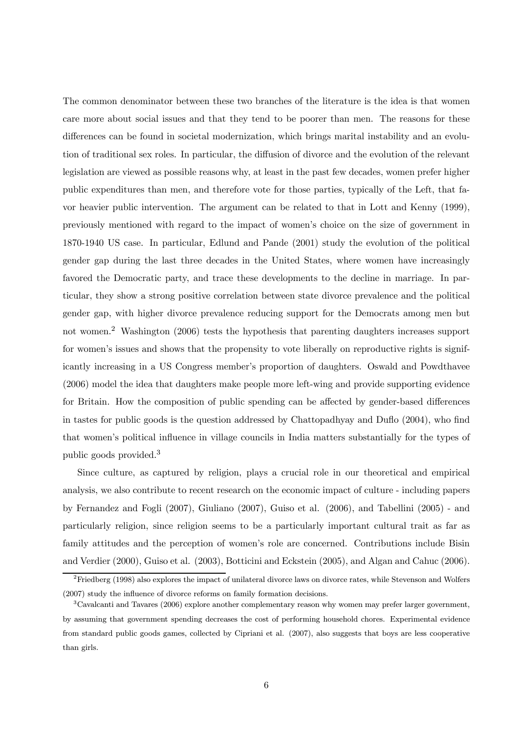The common denominator between these two branches of the literature is the idea is that women care more about social issues and that they tend to be poorer than men. The reasons for these differences can be found in societal modernization, which brings marital instability and an evolution of traditional sex roles. In particular, the diffusion of divorce and the evolution of the relevant legislation are viewed as possible reasons why, at least in the past few decades, women prefer higher public expenditures than men, and therefore vote for those parties, typically of the Left, that favor heavier public intervention. The argument can be related to that in Lott and Kenny (1999), previously mentioned with regard to the impact of women's choice on the size of government in 1870-1940 US case. In particular, Edlund and Pande (2001) study the evolution of the political gender gap during the last three decades in the United States, where women have increasingly favored the Democratic party, and trace these developments to the decline in marriage. In particular, they show a strong positive correlation between state divorce prevalence and the political gender gap, with higher divorce prevalence reducing support for the Democrats among men but not women.<sup>2</sup> Washington (2006) tests the hypothesis that parenting daughters increases support for women's issues and shows that the propensity to vote liberally on reproductive rights is significantly increasing in a US Congress member's proportion of daughters. Oswald and Powdthavee (2006) model the idea that daughters make people more left-wing and provide supporting evidence for Britain. How the composition of public spending can be affected by gender-based differences in tastes for public goods is the question addressed by Chattopadhyay and Duflo (2004), who find that women's political influence in village councils in India matters substantially for the types of public goods provided.<sup>3</sup>

Since culture, as captured by religion, plays a crucial role in our theoretical and empirical analysis, we also contribute to recent research on the economic impact of culture - including papers by Fernandez and Fogli (2007), Giuliano (2007), Guiso et al. (2006), and Tabellini (2005) - and particularly religion, since religion seems to be a particularly important cultural trait as far as family attitudes and the perception of women's role are concerned. Contributions include Bisin and Verdier (2000), Guiso et al. (2003), Botticini and Eckstein (2005), and Algan and Cahuc (2006).

<sup>2</sup>Friedberg (1998) also explores the impact of unilateral divorce laws on divorce rates, while Stevenson and Wolfers (2007) study the influence of divorce reforms on family formation decisions.

 $3C$ avalcanti and Tavares (2006) explore another complementary reason why women may prefer larger government, by assuming that government spending decreases the cost of performing household chores. Experimental evidence from standard public goods games, collected by Cipriani et al. (2007), also suggests that boys are less cooperative than girls.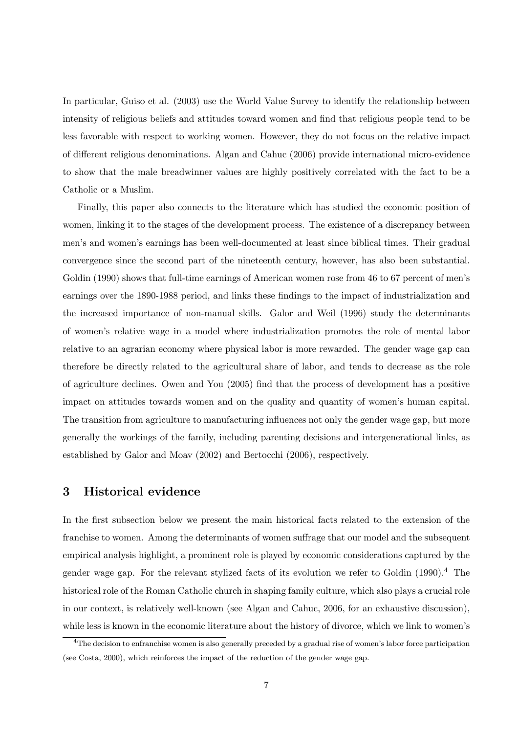In particular, Guiso et al. (2003) use the World Value Survey to identify the relationship between intensity of religious beliefs and attitudes toward women and find that religious people tend to be less favorable with respect to working women. However, they do not focus on the relative impact of different religious denominations. Algan and Cahuc (2006) provide international micro-evidence to show that the male breadwinner values are highly positively correlated with the fact to be a Catholic or a Muslim.

Finally, this paper also connects to the literature which has studied the economic position of women, linking it to the stages of the development process. The existence of a discrepancy between men's and women's earnings has been well-documented at least since biblical times. Their gradual convergence since the second part of the nineteenth century, however, has also been substantial. Goldin (1990) shows that full-time earnings of American women rose from 46 to 67 percent of men's earnings over the 1890-1988 period, and links these findings to the impact of industrialization and the increased importance of non-manual skills. Galor and Weil (1996) study the determinants of women's relative wage in a model where industrialization promotes the role of mental labor relative to an agrarian economy where physical labor is more rewarded. The gender wage gap can therefore be directly related to the agricultural share of labor, and tends to decrease as the role of agriculture declines. Owen and You (2005) find that the process of development has a positive impact on attitudes towards women and on the quality and quantity of women's human capital. The transition from agriculture to manufacturing influences not only the gender wage gap, but more generally the workings of the family, including parenting decisions and intergenerational links, as established by Galor and Moav (2002) and Bertocchi (2006), respectively.

# 3 Historical evidence

In the first subsection below we present the main historical facts related to the extension of the franchise to women. Among the determinants of women suffrage that our model and the subsequent empirical analysis highlight, a prominent role is played by economic considerations captured by the gender wage gap. For the relevant stylized facts of its evolution we refer to Goldin (1990).<sup>4</sup> The historical role of the Roman Catholic church in shaping family culture, which also plays a crucial role in our context, is relatively well-known (see Algan and Cahuc, 2006, for an exhaustive discussion), while less is known in the economic literature about the history of divorce, which we link to women's

 $4$ The decision to enfranchise women is also generally preceded by a gradual rise of women's labor force participation (see Costa, 2000), which reinforces the impact of the reduction of the gender wage gap.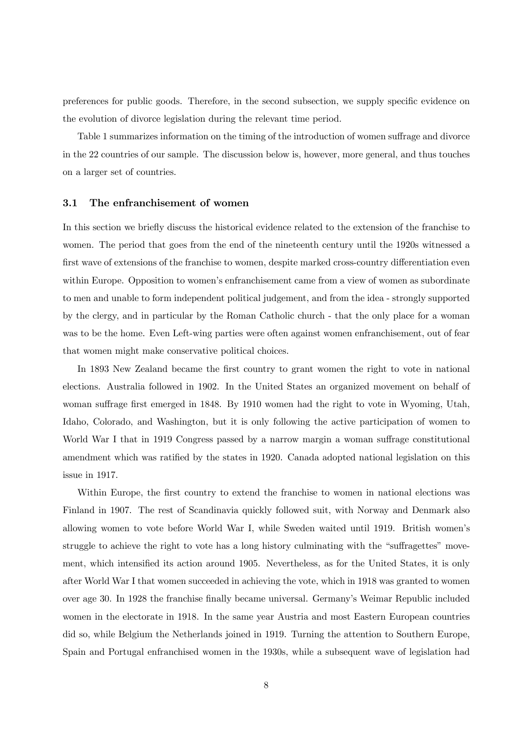preferences for public goods. Therefore, in the second subsection, we supply specific evidence on the evolution of divorce legislation during the relevant time period.

Table 1 summarizes information on the timing of the introduction of women suffrage and divorce in the 22 countries of our sample. The discussion below is, however, more general, and thus touches on a larger set of countries.

#### 3.1 The enfranchisement of women

In this section we briefly discuss the historical evidence related to the extension of the franchise to women. The period that goes from the end of the nineteenth century until the 1920s witnessed a first wave of extensions of the franchise to women, despite marked cross-country differentiation even within Europe. Opposition to women's enfranchisement came from a view of women as subordinate to men and unable to form independent political judgement, and from the idea - strongly supported by the clergy, and in particular by the Roman Catholic church - that the only place for a woman was to be the home. Even Left-wing parties were often against women enfranchisement, out of fear that women might make conservative political choices.

In 1893 New Zealand became the first country to grant women the right to vote in national elections. Australia followed in 1902. In the United States an organized movement on behalf of woman suffrage first emerged in 1848. By 1910 women had the right to vote in Wyoming, Utah, Idaho, Colorado, and Washington, but it is only following the active participation of women to World War I that in 1919 Congress passed by a narrow margin a woman suffrage constitutional amendment which was ratified by the states in 1920. Canada adopted national legislation on this issue in 1917.

Within Europe, the first country to extend the franchise to women in national elections was Finland in 1907. The rest of Scandinavia quickly followed suit, with Norway and Denmark also allowing women to vote before World War I, while Sweden waited until 1919. British women's struggle to achieve the right to vote has a long history culminating with the "suffragettes" movement, which intensified its action around 1905. Nevertheless, as for the United States, it is only after World War I that women succeeded in achieving the vote, which in 1918 was granted to women over age 30. In 1928 the franchise finally became universal. Germany's Weimar Republic included women in the electorate in 1918. In the same year Austria and most Eastern European countries did so, while Belgium the Netherlands joined in 1919. Turning the attention to Southern Europe, Spain and Portugal enfranchised women in the 1930s, while a subsequent wave of legislation had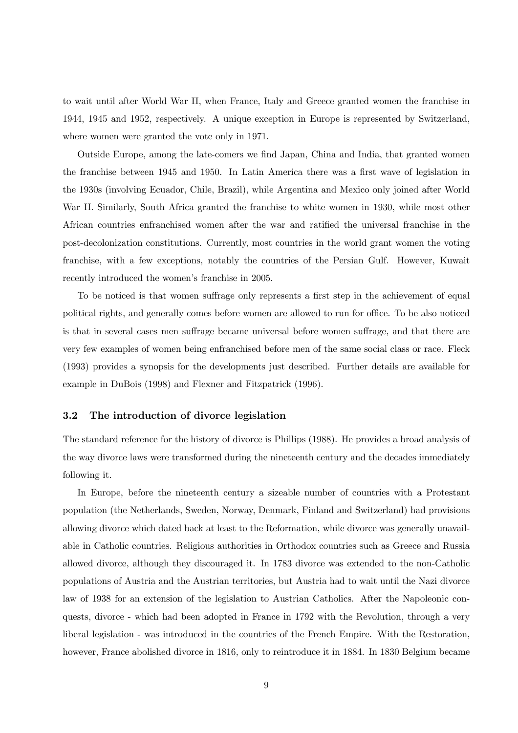to wait until after World War II, when France, Italy and Greece granted women the franchise in 1944, 1945 and 1952, respectively. A unique exception in Europe is represented by Switzerland, where women were granted the vote only in 1971.

Outside Europe, among the late-comers we find Japan, China and India, that granted women the franchise between 1945 and 1950. In Latin America there was a first wave of legislation in the 1930s (involving Ecuador, Chile, Brazil), while Argentina and Mexico only joined after World War II. Similarly, South Africa granted the franchise to white women in 1930, while most other African countries enfranchised women after the war and ratified the universal franchise in the post-decolonization constitutions. Currently, most countries in the world grant women the voting franchise, with a few exceptions, notably the countries of the Persian Gulf. However, Kuwait recently introduced the women's franchise in 2005.

To be noticed is that women suffrage only represents a first step in the achievement of equal political rights, and generally comes before women are allowed to run for office. To be also noticed is that in several cases men suffrage became universal before women suffrage, and that there are very few examples of women being enfranchised before men of the same social class or race. Fleck (1993) provides a synopsis for the developments just described. Further details are available for example in DuBois (1998) and Flexner and Fitzpatrick (1996).

### 3.2 The introduction of divorce legislation

The standard reference for the history of divorce is Phillips (1988). He provides a broad analysis of the way divorce laws were transformed during the nineteenth century and the decades immediately following it.

In Europe, before the nineteenth century a sizeable number of countries with a Protestant population (the Netherlands, Sweden, Norway, Denmark, Finland and Switzerland) had provisions allowing divorce which dated back at least to the Reformation, while divorce was generally unavailable in Catholic countries. Religious authorities in Orthodox countries such as Greece and Russia allowed divorce, although they discouraged it. In 1783 divorce was extended to the non-Catholic populations of Austria and the Austrian territories, but Austria had to wait until the Nazi divorce law of 1938 for an extension of the legislation to Austrian Catholics. After the Napoleonic conquests, divorce - which had been adopted in France in 1792 with the Revolution, through a very liberal legislation - was introduced in the countries of the French Empire. With the Restoration, however, France abolished divorce in 1816, only to reintroduce it in 1884. In 1830 Belgium became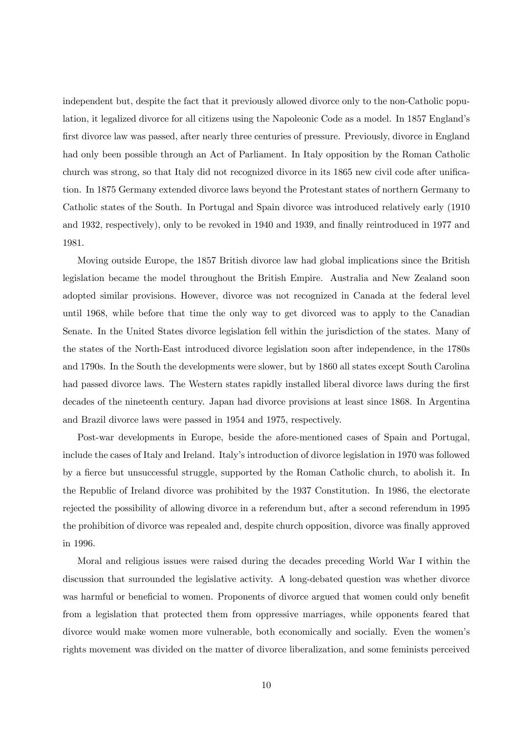independent but, despite the fact that it previously allowed divorce only to the non-Catholic population, it legalized divorce for all citizens using the Napoleonic Code as a model. In 1857 England's first divorce law was passed, after nearly three centuries of pressure. Previously, divorce in England had only been possible through an Act of Parliament. In Italy opposition by the Roman Catholic church was strong, so that Italy did not recognized divorce in its 1865 new civil code after unification. In 1875 Germany extended divorce laws beyond the Protestant states of northern Germany to Catholic states of the South. In Portugal and Spain divorce was introduced relatively early (1910 and 1932, respectively), only to be revoked in 1940 and 1939, and finally reintroduced in 1977 and 1981.

Moving outside Europe, the 1857 British divorce law had global implications since the British legislation became the model throughout the British Empire. Australia and New Zealand soon adopted similar provisions. However, divorce was not recognized in Canada at the federal level until 1968, while before that time the only way to get divorced was to apply to the Canadian Senate. In the United States divorce legislation fell within the jurisdiction of the states. Many of the states of the North-East introduced divorce legislation soon after independence, in the 1780s and 1790s. In the South the developments were slower, but by 1860 all states except South Carolina had passed divorce laws. The Western states rapidly installed liberal divorce laws during the first decades of the nineteenth century. Japan had divorce provisions at least since 1868. In Argentina and Brazil divorce laws were passed in 1954 and 1975, respectively.

Post-war developments in Europe, beside the afore-mentioned cases of Spain and Portugal, include the cases of Italy and Ireland. Italy's introduction of divorce legislation in 1970 was followed by a fierce but unsuccessful struggle, supported by the Roman Catholic church, to abolish it. In the Republic of Ireland divorce was prohibited by the 1937 Constitution. In 1986, the electorate rejected the possibility of allowing divorce in a referendum but, after a second referendum in 1995 the prohibition of divorce was repealed and, despite church opposition, divorce was finally approved in 1996.

Moral and religious issues were raised during the decades preceding World War I within the discussion that surrounded the legislative activity. A long-debated question was whether divorce was harmful or beneficial to women. Proponents of divorce argued that women could only benefit from a legislation that protected them from oppressive marriages, while opponents feared that divorce would make women more vulnerable, both economically and socially. Even the women's rights movement was divided on the matter of divorce liberalization, and some feminists perceived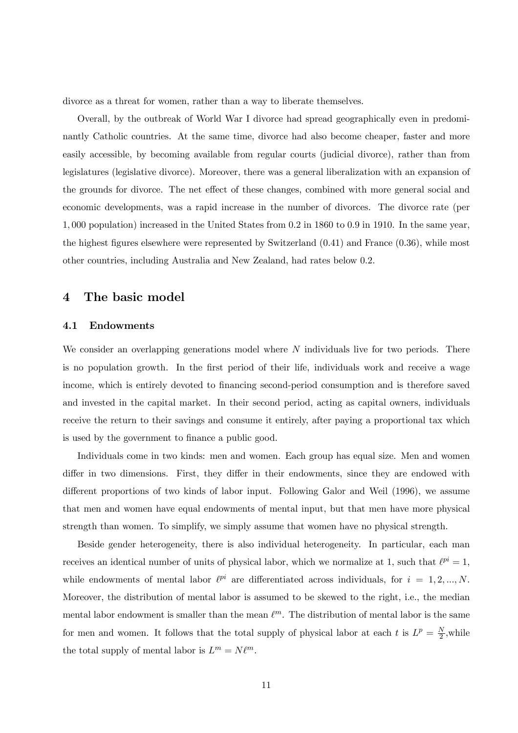divorce as a threat for women, rather than a way to liberate themselves.

Overall, by the outbreak of World War I divorce had spread geographically even in predominantly Catholic countries. At the same time, divorce had also become cheaper, faster and more easily accessible, by becoming available from regular courts (judicial divorce), rather than from legislatures (legislative divorce). Moreover, there was a general liberalization with an expansion of the grounds for divorce. The net effect of these changes, combined with more general social and economic developments, was a rapid increase in the number of divorces. The divorce rate (per 1, 000 population) increased in the United States from 0.2 in 1860 to 0.9 in 1910. In the same year, the highest figures elsewhere were represented by Switzerland (0.41) and France (0.36), while most other countries, including Australia and New Zealand, had rates below 0.2.

### 4 The basic model

#### 4.1 Endowments

We consider an overlapping generations model where  $N$  individuals live for two periods. There is no population growth. In the first period of their life, individuals work and receive a wage income, which is entirely devoted to financing second-period consumption and is therefore saved and invested in the capital market. In their second period, acting as capital owners, individuals receive the return to their savings and consume it entirely, after paying a proportional tax which is used by the government to finance a public good.

Individuals come in two kinds: men and women. Each group has equal size. Men and women differ in two dimensions. First, they differ in their endowments, since they are endowed with different proportions of two kinds of labor input. Following Galor and Weil (1996), we assume that men and women have equal endowments of mental input, but that men have more physical strength than women. To simplify, we simply assume that women have no physical strength.

Beside gender heterogeneity, there is also individual heterogeneity. In particular, each man receives an identical number of units of physical labor, which we normalize at 1, such that  $\ell^{pi} = 1$ , while endowments of mental labor  $\ell^{pi}$  are differentiated across individuals, for  $i = 1, 2, ..., N$ . Moreover, the distribution of mental labor is assumed to be skewed to the right, i.e., the median mental labor endowment is smaller than the mean  $\ell^m$ . The distribution of mental labor is the same for men and women. It follows that the total supply of physical labor at each t is  $L^p = \frac{N}{2}$ , while the total supply of mental labor is  $L^m = N\ell^m$ .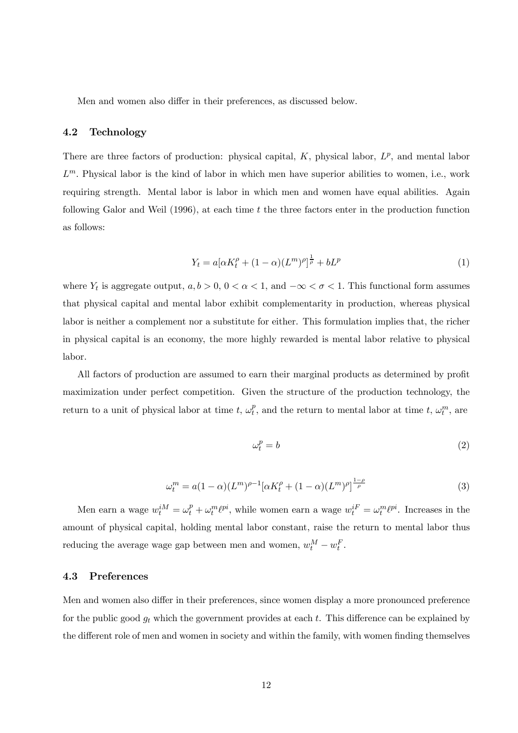Men and women also differ in their preferences, as discussed below.

### 4.2 Technology

There are three factors of production: physical capital,  $K$ , physical labor,  $L^p$ , and mental labor  $L^m$ . Physical labor is the kind of labor in which men have superior abilities to women, i.e., work requiring strength. Mental labor is labor in which men and women have equal abilities. Again following Galor and Weil  $(1996)$ , at each time t the three factors enter in the production function as follows:

$$
Y_t = a[\alpha K_t^{\rho} + (1 - \alpha)(L^m)^{\rho}]^{\frac{1}{\rho}} + bL^p
$$
\n(1)

where  $Y_t$  is aggregate output,  $a, b > 0, 0 < \alpha < 1$ , and  $-\infty < \sigma < 1$ . This functional form assumes that physical capital and mental labor exhibit complementarity in production, whereas physical labor is neither a complement nor a substitute for either. This formulation implies that, the richer in physical capital is an economy, the more highly rewarded is mental labor relative to physical labor.

All factors of production are assumed to earn their marginal products as determined by profit maximization under perfect competition. Given the structure of the production technology, the return to a unit of physical labor at time  $t, \omega_t^p$ , and the return to mental labor at time  $t, \omega_t^m$ , are

$$
\omega_t^p = b \tag{2}
$$

$$
\omega_t^m = a(1 - \alpha)(L^m)^{\rho - 1} [\alpha K_t^{\rho} + (1 - \alpha)(L^m)^{\rho}]^{\frac{1 - \rho}{\rho}}
$$
(3)

Men earn a wage  $w_t^{iM} = \omega_t^p + \omega_t^m \ell^{pi}$ , while women earn a wage  $w_t^{iF} = \omega_t^m \ell^{pi}$ . Increases in the amount of physical capital, holding mental labor constant, raise the return to mental labor thus reducing the average wage gap between men and women,  $w_t^M - w_t^F$ .

#### 4.3 Preferences

Men and women also differ in their preferences, since women display a more pronounced preference for the public good  $g_t$  which the government provides at each t. This difference can be explained by the different role of men and women in society and within the family, with women finding themselves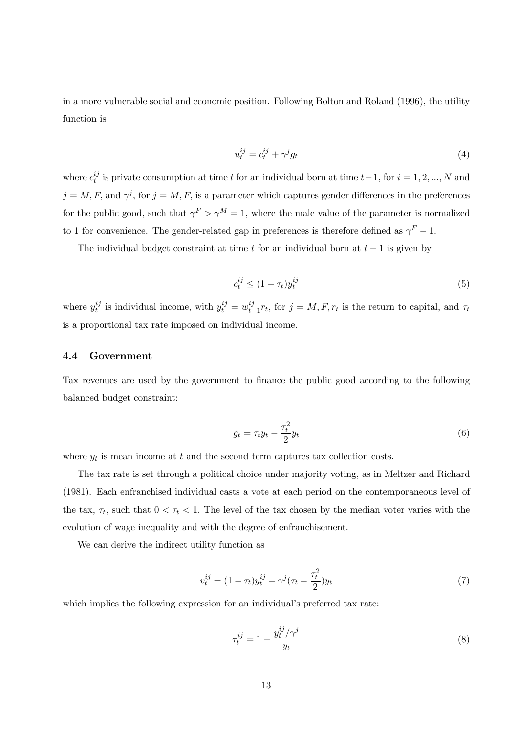in a more vulnerable social and economic position. Following Bolton and Roland (1996), the utility function is

$$
u_t^{ij} = c_t^{ij} + \gamma^j g_t \tag{4}
$$

where  $c_t^{ij}$  is private consumption at time t for an individual born at time  $t-1$ , for  $i = 1, 2, ..., N$  and  $j = M, F$ , and  $\gamma^{j}$ , for  $j = M, F$ , is a parameter which captures gender differences in the preferences for the public good, such that  $\gamma^F > \gamma^M = 1$ , where the male value of the parameter is normalized to 1 for convenience. The gender-related gap in preferences is therefore defined as  $\gamma^F - 1$ .

The individual budget constraint at time t for an individual born at  $t-1$  is given by

$$
c_t^{ij} \le (1 - \tau_t) y_t^{ij} \tag{5}
$$

where  $y_t^{ij}$  is individual income, with  $y_t^{ij} = w_{t-1}^{ij} r_t$ , for  $j = M, F, r_t$  is the return to capital, and  $\tau_t$ is a proportional tax rate imposed on individual income.

#### 4.4 Government

Tax revenues are used by the government to finance the public good according to the following balanced budget constraint:

$$
g_t = \tau_t y_t - \frac{\tau_t^2}{2} y_t \tag{6}
$$

where  $y_t$  is mean income at t and the second term captures tax collection costs.

The tax rate is set through a political choice under majority voting, as in Meltzer and Richard (1981). Each enfranchised individual casts a vote at each period on the contemporaneous level of the tax,  $\tau_t$ , such that  $0 < \tau_t < 1$ . The level of the tax chosen by the median voter varies with the evolution of wage inequality and with the degree of enfranchisement.

We can derive the indirect utility function as

$$
v_t^{ij} = (1 - \tau_t)y_t^{ij} + \gamma^j(\tau_t - \frac{\tau_t^2}{2})y_t
$$
\n(7)

which implies the following expression for an individual's preferred tax rate:

$$
\tau_t^{ij} = 1 - \frac{y_t^{ij}/\gamma^j}{y_t} \tag{8}
$$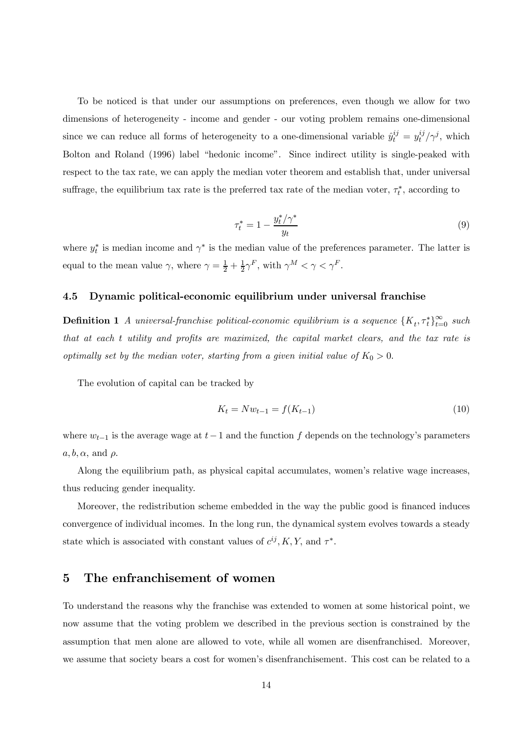To be noticed is that under our assumptions on preferences, even though we allow for two dimensions of heterogeneity - income and gender - our voting problem remains one-dimensional since we can reduce all forms of heterogeneity to a one-dimensional variable  $\hat{y}^{ij}_t = y^{ij}_t / \gamma^j$ , which Bolton and Roland (1996) label "hedonic income". Since indirect utility is single-peaked with respect to the tax rate, we can apply the median voter theorem and establish that, under universal suffrage, the equilibrium tax rate is the preferred tax rate of the median voter,  $\tau_t^*$ , according to

$$
\tau_t^* = 1 - \frac{y_t^* / \gamma^*}{y_t} \tag{9}
$$

where  $y_t^*$  is median income and  $\gamma^*$  is the median value of the preferences parameter. The latter is equal to the mean value  $\gamma$ , where  $\gamma = \frac{1}{2} + \frac{1}{2}\gamma^F$ , with  $\gamma^M < \gamma < \gamma^F$ .

#### 4.5 Dynamic political-economic equilibrium under universal franchise

**Definition 1** A universal-franchise political-economic equilibrium is a sequence  $\{K_t, \tau_t^*\}_{t=0}^{\infty}$  such that at each t utility and profits are maximized, the capital market clears, and the tax rate is optimally set by the median voter, starting from a given initial value of  $K_0 > 0$ .

The evolution of capital can be tracked by

$$
K_t = Nw_{t-1} = f(K_{t-1})
$$
\n(10)

where  $w_{t-1}$  is the average wage at  $t-1$  and the function f depends on the technology's parameters  $a, b, \alpha$ , and  $\rho$ .

Along the equilibrium path, as physical capital accumulates, women's relative wage increases, thus reducing gender inequality.

Moreover, the redistribution scheme embedded in the way the public good is financed induces convergence of individual incomes. In the long run, the dynamical system evolves towards a steady state which is associated with constant values of  $c^{ij}$ , K, Y, and  $\tau^*$ .

# 5 The enfranchisement of women

To understand the reasons why the franchise was extended to women at some historical point, we now assume that the voting problem we described in the previous section is constrained by the assumption that men alone are allowed to vote, while all women are disenfranchised. Moreover, we assume that society bears a cost for women's disenfranchisement. This cost can be related to a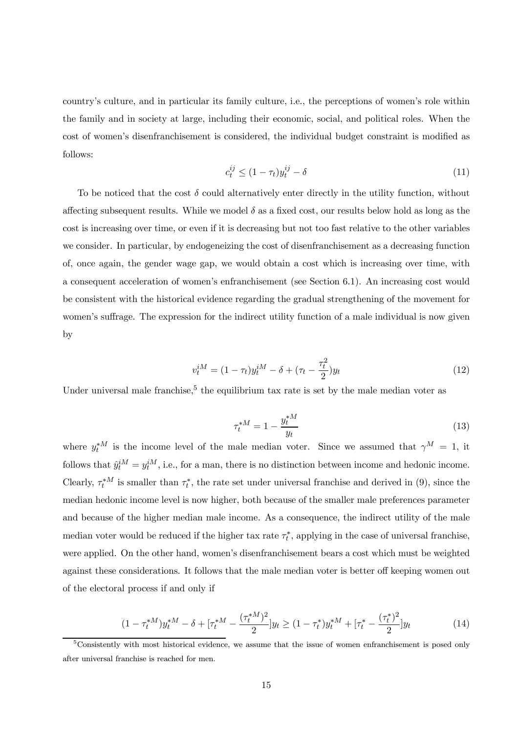country's culture, and in particular its family culture, i.e., the perceptions of women's role within the family and in society at large, including their economic, social, and political roles. When the cost of women's disenfranchisement is considered, the individual budget constraint is modified as follows:

$$
c_t^{ij} \le (1 - \tau_t) y_t^{ij} - \delta \tag{11}
$$

To be noticed that the cost  $\delta$  could alternatively enter directly in the utility function, without affecting subsequent results. While we model  $\delta$  as a fixed cost, our results below hold as long as the cost is increasing over time, or even if it is decreasing but not too fast relative to the other variables we consider. In particular, by endogeneizing the cost of disenfranchisement as a decreasing function of, once again, the gender wage gap, we would obtain a cost which is increasing over time, with a consequent acceleration of women's enfranchisement (see Section 6.1). An increasing cost would be consistent with the historical evidence regarding the gradual strengthening of the movement for women's suffrage. The expression for the indirect utility function of a male individual is now given by

$$
v_t^{iM} = (1 - \tau_t)y_t^{iM} - \delta + (\tau_t - \frac{\tau_t^2}{2})y_t
$$
\n(12)

Under universal male franchise.<sup>5</sup> the equilibrium tax rate is set by the male median voter as

$$
\tau_t^{*M} = 1 - \frac{y_t^{*M}}{y_t}
$$
 (13)

where  $y_t^{*M}$  is the income level of the male median voter. Since we assumed that  $\gamma^M = 1$ , it follows that  $\hat{y}_t^{iM} = y_t^{iM}$ , i.e., for a man, there is no distinction between income and hedonic income. Clearly,  $\tau_t^*$  is smaller than  $\tau_t^*$ , the rate set under universal franchise and derived in (9), since the median hedonic income level is now higher, both because of the smaller male preferences parameter and because of the higher median male income. As a consequence, the indirect utility of the male median voter would be reduced if the higher tax rate  $\tau_t^*$ , applying in the case of universal franchise, were applied. On the other hand, women's disenfranchisement bears a cost which must be weighted against these considerations. It follows that the male median voter is better off keeping women out of the electoral process if and only if

$$
(1 - \tau_t^{*M})y_t^{*M} - \delta + [\tau_t^{*M} - \frac{(\tau_t^{*M})^2}{2}]y_t \ge (1 - \tau_t^*)y_t^{*M} + [\tau_t^* - \frac{(\tau_t^*)^2}{2}]y_t
$$
\n(14)

<sup>5</sup>Consistently with most historical evidence, we assume that the issue of women enfranchisement is posed only after universal franchise is reached for men.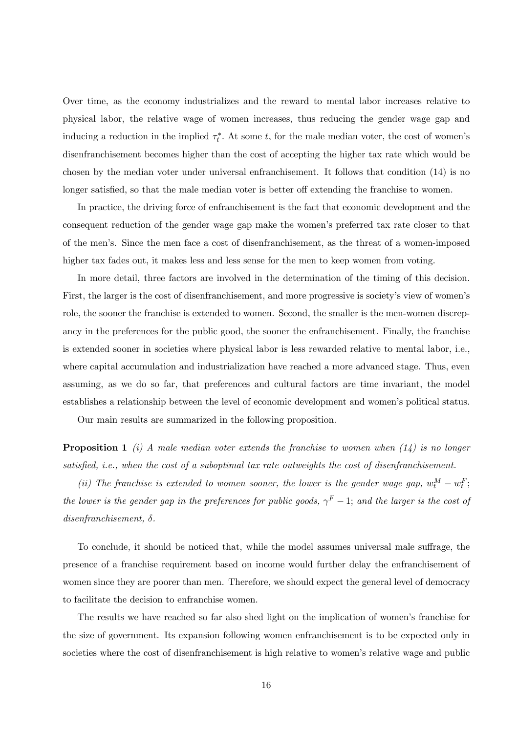Over time, as the economy industrializes and the reward to mental labor increases relative to physical labor, the relative wage of women increases, thus reducing the gender wage gap and inducing a reduction in the implied  $\tau_t^*$ . At some t, for the male median voter, the cost of women's disenfranchisement becomes higher than the cost of accepting the higher tax rate which would be chosen by the median voter under universal enfranchisement. It follows that condition (14) is no longer satisfied, so that the male median voter is better off extending the franchise to women.

In practice, the driving force of enfranchisement is the fact that economic development and the consequent reduction of the gender wage gap make the women's preferred tax rate closer to that of the men's. Since the men face a cost of disenfranchisement, as the threat of a women-imposed higher tax fades out, it makes less and less sense for the men to keep women from voting.

In more detail, three factors are involved in the determination of the timing of this decision. First, the larger is the cost of disenfranchisement, and more progressive is society's view of women's role, the sooner the franchise is extended to women. Second, the smaller is the men-women discrepancy in the preferences for the public good, the sooner the enfranchisement. Finally, the franchise is extended sooner in societies where physical labor is less rewarded relative to mental labor, i.e., where capital accumulation and industrialization have reached a more advanced stage. Thus, even assuming, as we do so far, that preferences and cultural factors are time invariant, the model establishes a relationship between the level of economic development and women's political status.

Our main results are summarized in the following proposition.

**Proposition 1** (i) A male median voter extends the franchise to women when  $(14)$  is no longer satisfied, i.e., when the cost of a suboptimal tax rate outweights the cost of disenfranchisement.

(ii) The franchise is extended to women sooner, the lower is the gender wage gap,  $w_t^M - w_t^F$ ; the lower is the gender gap in the preferences for public goods,  $\gamma^F - 1$ ; and the larger is the cost of  $disen {\it fan chisement}, \; \delta.$ 

To conclude, it should be noticed that, while the model assumes universal male suffrage, the presence of a franchise requirement based on income would further delay the enfranchisement of women since they are poorer than men. Therefore, we should expect the general level of democracy to facilitate the decision to enfranchise women.

The results we have reached so far also shed light on the implication of women's franchise for the size of government. Its expansion following women enfranchisement is to be expected only in societies where the cost of disenfranchisement is high relative to women's relative wage and public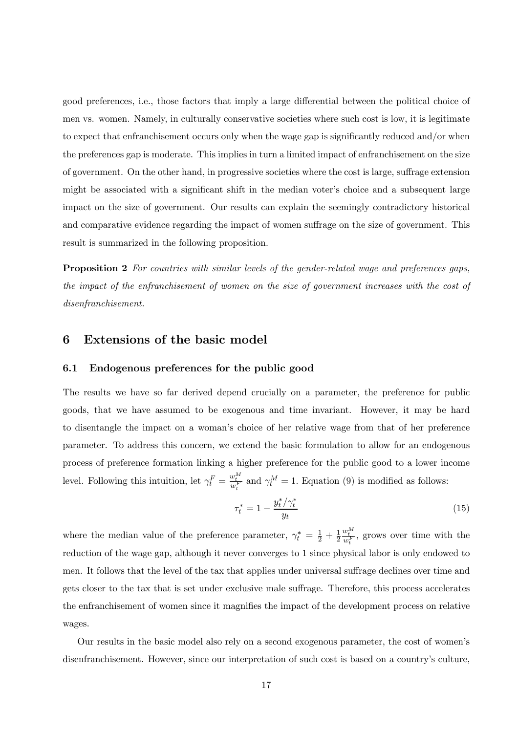good preferences, i.e., those factors that imply a large differential between the political choice of men vs. women. Namely, in culturally conservative societies where such cost is low, it is legitimate to expect that enfranchisement occurs only when the wage gap is significantly reduced and/or when the preferences gap is moderate. This implies in turn a limited impact of enfranchisement on the size of government. On the other hand, in progressive societies where the cost is large, suffrage extension might be associated with a significant shift in the median voter's choice and a subsequent large impact on the size of government. Our results can explain the seemingly contradictory historical and comparative evidence regarding the impact of women suffrage on the size of government. This result is summarized in the following proposition.

**Proposition 2** For countries with similar levels of the gender-related wage and preferences gaps, the impact of the enfranchisement of women on the size of government increases with the cost of disenfranchisement.

### 6 Extensions of the basic model

#### 6.1 Endogenous preferences for the public good

The results we have so far derived depend crucially on a parameter, the preference for public goods, that we have assumed to be exogenous and time invariant. However, it may be hard to disentangle the impact on a woman's choice of her relative wage from that of her preference parameter. To address this concern, we extend the basic formulation to allow for an endogenous process of preference formation linking a higher preference for the public good to a lower income level. Following this intuition, let  $\gamma_t^F = \frac{w_t^M}{w_t^F}$  and  $\gamma_t^M = 1$ . Equation (9) is modified as follows:

$$
\tau_t^* = 1 - \frac{y_t^* / \gamma_t^*}{y_t} \tag{15}
$$

where the median value of the preference parameter,  $\gamma_t^* = \frac{1}{2} + \frac{1}{2}$  $\frac{w_t^M}{w_t^F}$ , grows over time with the reduction of the wage gap, although it never converges to 1 since physical labor is only endowed to men. It follows that the level of the tax that applies under universal suffrage declines over time and gets closer to the tax that is set under exclusive male suffrage. Therefore, this process accelerates the enfranchisement of women since it magnifies the impact of the development process on relative wages.

Our results in the basic model also rely on a second exogenous parameter, the cost of women's disenfranchisement. However, since our interpretation of such cost is based on a country's culture,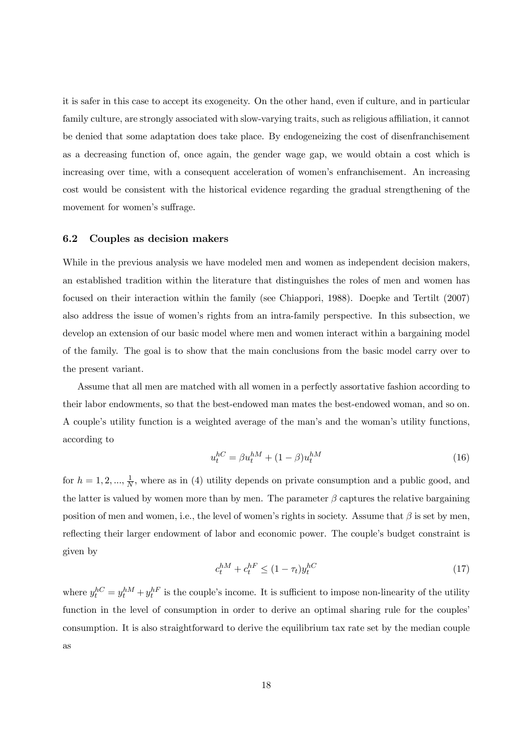it is safer in this case to accept its exogeneity. On the other hand, even if culture, and in particular family culture, are strongly associated with slow-varying traits, such as religious affiliation, it cannot be denied that some adaptation does take place. By endogeneizing the cost of disenfranchisement as a decreasing function of, once again, the gender wage gap, we would obtain a cost which is increasing over time, with a consequent acceleration of women's enfranchisement. An increasing cost would be consistent with the historical evidence regarding the gradual strengthening of the movement for women's suffrage.

#### 6.2 Couples as decision makers

While in the previous analysis we have modeled men and women as independent decision makers, an established tradition within the literature that distinguishes the roles of men and women has focused on their interaction within the family (see Chiappori, 1988). Doepke and Tertilt (2007) also address the issue of women's rights from an intra-family perspective. In this subsection, we develop an extension of our basic model where men and women interact within a bargaining model of the family. The goal is to show that the main conclusions from the basic model carry over to the present variant.

Assume that all men are matched with all women in a perfectly assortative fashion according to their labor endowments, so that the best-endowed man mates the best-endowed woman, and so on. A couple's utility function is a weighted average of the man's and the woman's utility functions, according to

$$
u_t^{hC} = \beta u_t^{hM} + (1 - \beta) u_t^{hM}
$$
\n(16)

for  $h = 1, 2, ..., \frac{1}{N}$ , where as in (4) utility depends on private consumption and a public good, and the latter is valued by women more than by men. The parameter  $\beta$  captures the relative bargaining position of men and women, i.e., the level of women's rights in society. Assume that  $\beta$  is set by men, reflecting their larger endowment of labor and economic power. The couple's budget constraint is given by

$$
c_t^{hM} + c_t^{hF} \le (1 - \tau_t) y_t^{hC}
$$
\n
$$
\tag{17}
$$

where  $y_t^{hC} = y_t^{hM} + y_t^{hF}$  is the couple's income. It is sufficient to impose non-linearity of the utility function in the level of consumption in order to derive an optimal sharing rule for the couples' consumption. It is also straightforward to derive the equilibrium tax rate set by the median couple as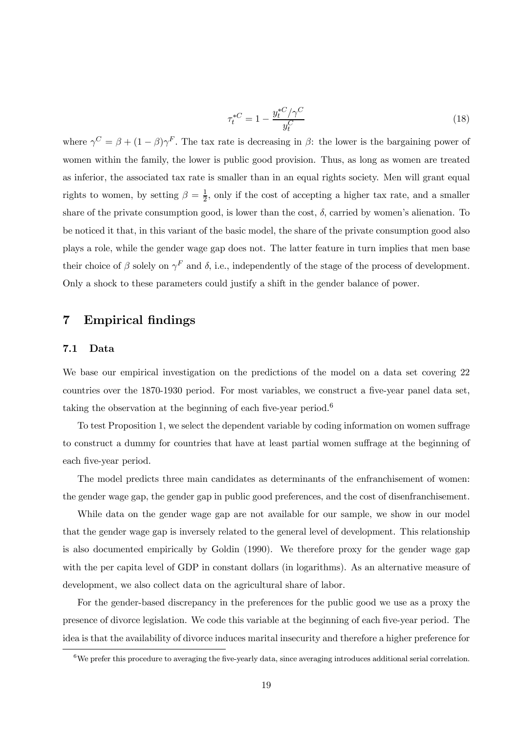$$
\tau_t^{*C} = 1 - \frac{y_t^{*C}/\gamma^C}{y_t^C} \tag{18}
$$

where  $\gamma^C = \beta + (1 - \beta)\gamma^F$ . The tax rate is decreasing in  $\beta$ : the lower is the bargaining power of women within the family, the lower is public good provision. Thus, as long as women are treated as inferior, the associated tax rate is smaller than in an equal rights society. Men will grant equal rights to women, by setting  $\beta = \frac{1}{2}$ , only if the cost of accepting a higher tax rate, and a smaller share of the private consumption good, is lower than the cost,  $\delta$ , carried by women's alienation. To be noticed it that, in this variant of the basic model, the share of the private consumption good also plays a role, while the gender wage gap does not. The latter feature in turn implies that men base their choice of  $\beta$  solely on  $\gamma^F$  and  $\delta$ , i.e., independently of the stage of the process of development. Only a shock to these parameters could justify a shift in the gender balance of power.

## 7 Empirical findings

#### 7.1 Data

We base our empirical investigation on the predictions of the model on a data set covering 22 countries over the 1870-1930 period. For most variables, we construct a five-year panel data set, taking the observation at the beginning of each five-year period.<sup>6</sup>

To test Proposition 1, we select the dependent variable by coding information on women suffrage to construct a dummy for countries that have at least partial women suffrage at the beginning of each five-year period.

The model predicts three main candidates as determinants of the enfranchisement of women: the gender wage gap, the gender gap in public good preferences, and the cost of disenfranchisement.

While data on the gender wage gap are not available for our sample, we show in our model that the gender wage gap is inversely related to the general level of development. This relationship is also documented empirically by Goldin (1990). We therefore proxy for the gender wage gap with the per capita level of GDP in constant dollars (in logarithms). As an alternative measure of development, we also collect data on the agricultural share of labor.

For the gender-based discrepancy in the preferences for the public good we use as a proxy the presence of divorce legislation. We code this variable at the beginning of each five-year period. The idea is that the availability of divorce induces marital insecurity and therefore a higher preference for

<sup>6</sup>We prefer this procedure to averaging the five-yearly data, since averaging introduces additional serial correlation.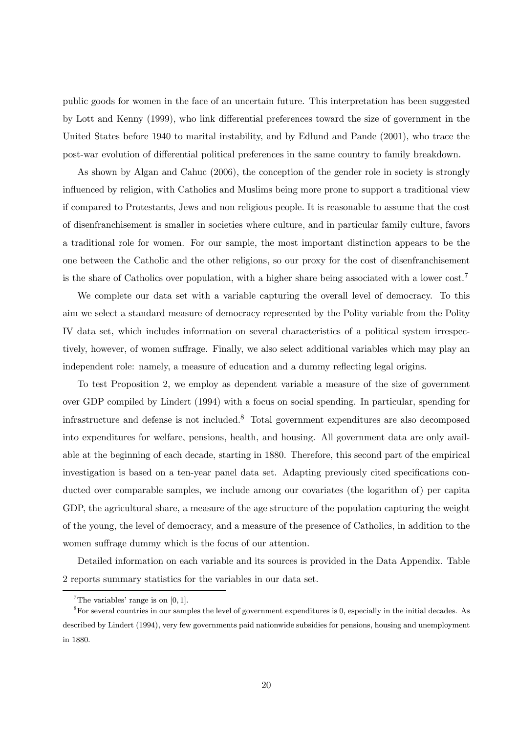public goods for women in the face of an uncertain future. This interpretation has been suggested by Lott and Kenny (1999), who link differential preferences toward the size of government in the United States before 1940 to marital instability, and by Edlund and Pande (2001), who trace the post-war evolution of differential political preferences in the same country to family breakdown.

As shown by Algan and Cahuc (2006), the conception of the gender role in society is strongly influenced by religion, with Catholics and Muslims being more prone to support a traditional view if compared to Protestants, Jews and non religious people. It is reasonable to assume that the cost of disenfranchisement is smaller in societies where culture, and in particular family culture, favors a traditional role for women. For our sample, the most important distinction appears to be the one between the Catholic and the other religions, so our proxy for the cost of disenfranchisement is the share of Catholics over population, with a higher share being associated with a lower cost.<sup>7</sup>

We complete our data set with a variable capturing the overall level of democracy. To this aim we select a standard measure of democracy represented by the Polity variable from the Polity IV data set, which includes information on several characteristics of a political system irrespectively, however, of women suffrage. Finally, we also select additional variables which may play an independent role: namely, a measure of education and a dummy reflecting legal origins.

To test Proposition 2, we employ as dependent variable a measure of the size of government over GDP compiled by Lindert (1994) with a focus on social spending. In particular, spending for infrastructure and defense is not included.<sup>8</sup> Total government expenditures are also decomposed into expenditures for welfare, pensions, health, and housing. All government data are only available at the beginning of each decade, starting in 1880. Therefore, this second part of the empirical investigation is based on a ten-year panel data set. Adapting previously cited specifications conducted over comparable samples, we include among our covariates (the logarithm of) per capita GDP, the agricultural share, a measure of the age structure of the population capturing the weight of the young, the level of democracy, and a measure of the presence of Catholics, in addition to the women suffrage dummy which is the focus of our attention.

Detailed information on each variable and its sources is provided in the Data Appendix. Table 2 reports summary statistics for the variables in our data set.

<sup>&</sup>lt;sup>7</sup>The variables' range is on  $[0, 1]$ .

<sup>8</sup>For several countries in our samples the level of government expenditures is 0, especially in the initial decades. As described by Lindert (1994), very few governments paid nationwide subsidies for pensions, housing and unemployment in 1880.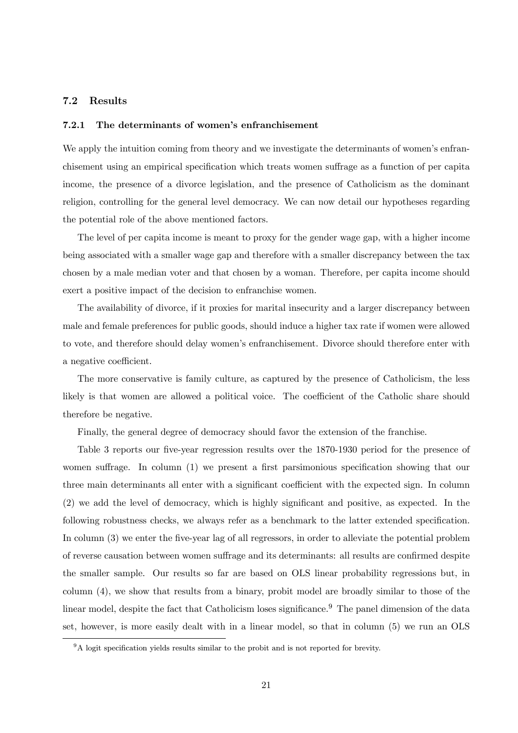### 7.2 Results

#### 7.2.1 The determinants of women's enfranchisement

We apply the intuition coming from theory and we investigate the determinants of women's enfranchisement using an empirical specification which treats women suffrage as a function of per capita income, the presence of a divorce legislation, and the presence of Catholicism as the dominant religion, controlling for the general level democracy. We can now detail our hypotheses regarding the potential role of the above mentioned factors.

The level of per capita income is meant to proxy for the gender wage gap, with a higher income being associated with a smaller wage gap and therefore with a smaller discrepancy between the tax chosen by a male median voter and that chosen by a woman. Therefore, per capita income should exert a positive impact of the decision to enfranchise women.

The availability of divorce, if it proxies for marital insecurity and a larger discrepancy between male and female preferences for public goods, should induce a higher tax rate if women were allowed to vote, and therefore should delay women's enfranchisement. Divorce should therefore enter with a negative coefficient.

The more conservative is family culture, as captured by the presence of Catholicism, the less likely is that women are allowed a political voice. The coefficient of the Catholic share should therefore be negative.

Finally, the general degree of democracy should favor the extension of the franchise.

Table 3 reports our five-year regression results over the 1870-1930 period for the presence of women suffrage. In column (1) we present a first parsimonious specification showing that our three main determinants all enter with a significant coefficient with the expected sign. In column (2) we add the level of democracy, which is highly significant and positive, as expected. In the following robustness checks, we always refer as a benchmark to the latter extended specification. In column (3) we enter the five-year lag of all regressors, in order to alleviate the potential problem of reverse causation between women suffrage and its determinants: all results are confirmed despite the smaller sample. Our results so far are based on OLS linear probability regressions but, in column (4), we show that results from a binary, probit model are broadly similar to those of the linear model, despite the fact that Catholicism loses significance.<sup>9</sup> The panel dimension of the data set, however, is more easily dealt with in a linear model, so that in column (5) we run an OLS

<sup>9</sup>A logit specification yields results similar to the probit and is not reported for brevity.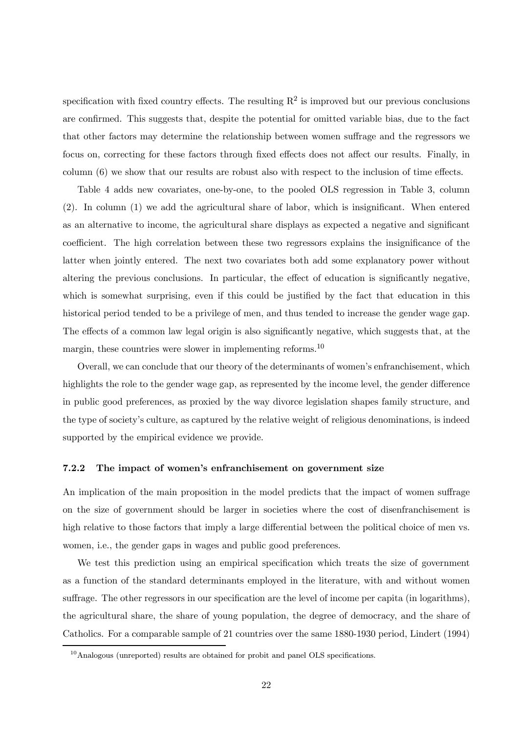specification with fixed country effects. The resulting  $R^2$  is improved but our previous conclusions are confirmed. This suggests that, despite the potential for omitted variable bias, due to the fact that other factors may determine the relationship between women suffrage and the regressors we focus on, correcting for these factors through fixed effects does not affect our results. Finally, in column (6) we show that our results are robust also with respect to the inclusion of time effects.

Table 4 adds new covariates, one-by-one, to the pooled OLS regression in Table 3, column (2). In column (1) we add the agricultural share of labor, which is insignificant. When entered as an alternative to income, the agricultural share displays as expected a negative and significant coefficient. The high correlation between these two regressors explains the insignificance of the latter when jointly entered. The next two covariates both add some explanatory power without altering the previous conclusions. In particular, the effect of education is significantly negative, which is somewhat surprising, even if this could be justified by the fact that education in this historical period tended to be a privilege of men, and thus tended to increase the gender wage gap. The effects of a common law legal origin is also significantly negative, which suggests that, at the margin, these countries were slower in implementing reforms.<sup>10</sup>

Overall, we can conclude that our theory of the determinants of women's enfranchisement, which highlights the role to the gender wage gap, as represented by the income level, the gender difference in public good preferences, as proxied by the way divorce legislation shapes family structure, and the type of society's culture, as captured by the relative weight of religious denominations, is indeed supported by the empirical evidence we provide.

#### 7.2.2 The impact of women's enfranchisement on government size

An implication of the main proposition in the model predicts that the impact of women suffrage on the size of government should be larger in societies where the cost of disenfranchisement is high relative to those factors that imply a large differential between the political choice of men vs. women, i.e., the gender gaps in wages and public good preferences.

We test this prediction using an empirical specification which treats the size of government as a function of the standard determinants employed in the literature, with and without women suffrage. The other regressors in our specification are the level of income per capita (in logarithms), the agricultural share, the share of young population, the degree of democracy, and the share of Catholics. For a comparable sample of 21 countries over the same 1880-1930 period, Lindert (1994)

<sup>&</sup>lt;sup>10</sup>Analogous (unreported) results are obtained for probit and panel OLS specifications.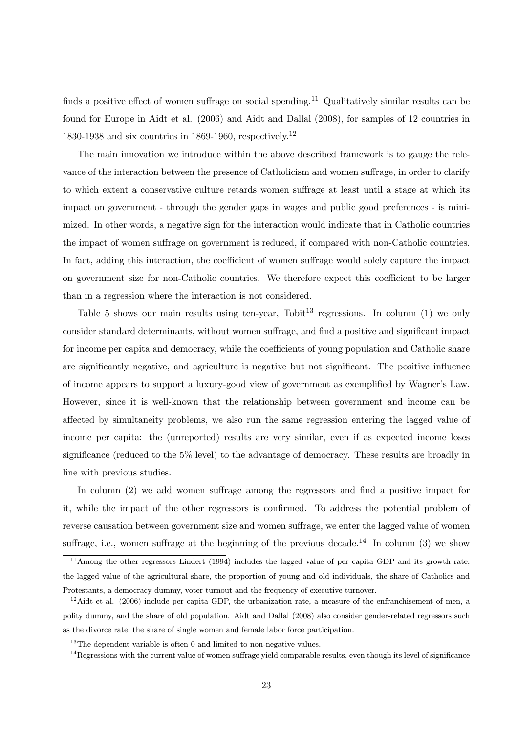finds a positive effect of women suffrage on social spending.<sup>11</sup> Qualitatively similar results can be found for Europe in Aidt et al. (2006) and Aidt and Dallal (2008), for samples of 12 countries in 1830-1938 and six countries in 1869-1960, respectively.<sup>12</sup>

The main innovation we introduce within the above described framework is to gauge the relevance of the interaction between the presence of Catholicism and women suffrage, in order to clarify to which extent a conservative culture retards women suffrage at least until a stage at which its impact on government - through the gender gaps in wages and public good preferences - is minimized. In other words, a negative sign for the interaction would indicate that in Catholic countries the impact of women suffrage on government is reduced, if compared with non-Catholic countries. In fact, adding this interaction, the coefficient of women suffrage would solely capture the impact on government size for non-Catholic countries. We therefore expect this coefficient to be larger than in a regression where the interaction is not considered.

Table 5 shows our main results using ten-year, Tobit<sup>13</sup> regressions. In column  $(1)$  we only consider standard determinants, without women suffrage, and find a positive and significant impact for income per capita and democracy, while the coefficients of young population and Catholic share are significantly negative, and agriculture is negative but not significant. The positive influence of income appears to support a luxury-good view of government as exemplified by Wagner's Law. However, since it is well-known that the relationship between government and income can be affected by simultaneity problems, we also run the same regression entering the lagged value of income per capita: the (unreported) results are very similar, even if as expected income loses significance (reduced to the 5% level) to the advantage of democracy. These results are broadly in line with previous studies.

In column (2) we add women suffrage among the regressors and find a positive impact for it, while the impact of the other regressors is confirmed. To address the potential problem of reverse causation between government size and women suffrage, we enter the lagged value of women suffrage, i.e., women suffrage at the beginning of the previous decade.<sup>14</sup> In column (3) we show

<sup>11</sup>Among the other regressors Lindert (1994) includes the lagged value of per capita GDP and its growth rate, the lagged value of the agricultural share, the proportion of young and old individuals, the share of Catholics and Protestants, a democracy dummy, voter turnout and the frequency of executive turnover.

 $12$ Aidt et al. (2006) include per capita GDP, the urbanization rate, a measure of the enfranchisement of men, a polity dummy, and the share of old population. Aidt and Dallal (2008) also consider gender-related regressors such as the divorce rate, the share of single women and female labor force participation.

 $13$ The dependent variable is often 0 and limited to non-negative values.

 $14}$ Regressions with the current value of women suffrage yield comparable results, even though its level of significance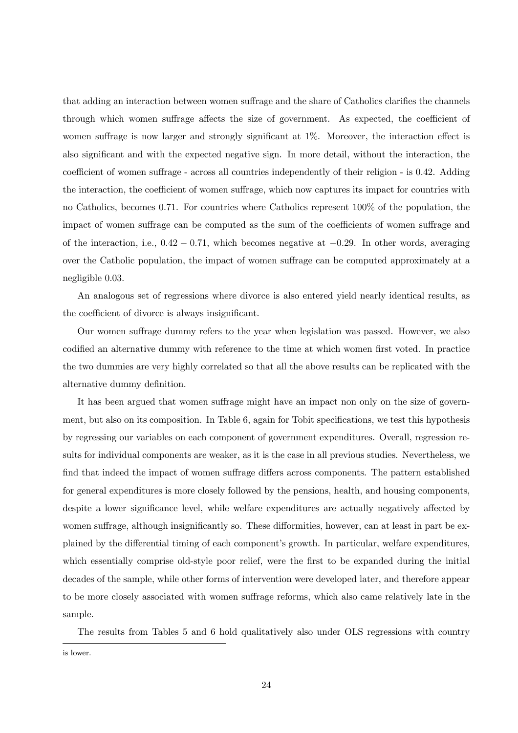that adding an interaction between women suffrage and the share of Catholics clarifies the channels through which women suffrage affects the size of government. As expected, the coefficient of women suffrage is now larger and strongly significant at 1%. Moreover, the interaction effect is also significant and with the expected negative sign. In more detail, without the interaction, the coefficient of women suffrage - across all countries independently of their religion - is 0.42. Adding the interaction, the coefficient of women suffrage, which now captures its impact for countries with no Catholics, becomes 0.71. For countries where Catholics represent 100% of the population, the impact of women suffrage can be computed as the sum of the coefficients of women suffrage and of the interaction, i.e.,  $0.42 - 0.71$ , which becomes negative at  $-0.29$ . In other words, averaging over the Catholic population, the impact of women suffrage can be computed approximately at a negligible 0.03.

An analogous set of regressions where divorce is also entered yield nearly identical results, as the coefficient of divorce is always insignificant.

Our women suffrage dummy refers to the year when legislation was passed. However, we also codified an alternative dummy with reference to the time at which women first voted. In practice the two dummies are very highly correlated so that all the above results can be replicated with the alternative dummy definition.

It has been argued that women suffrage might have an impact non only on the size of government, but also on its composition. In Table 6, again for Tobit specifications, we test this hypothesis by regressing our variables on each component of government expenditures. Overall, regression results for individual components are weaker, as it is the case in all previous studies. Nevertheless, we find that indeed the impact of women suffrage differs across components. The pattern established for general expenditures is more closely followed by the pensions, health, and housing components, despite a lower significance level, while welfare expenditures are actually negatively affected by women suffrage, although insignificantly so. These difformities, however, can at least in part be explained by the differential timing of each component's growth. In particular, welfare expenditures, which essentially comprise old-style poor relief, were the first to be expanded during the initial decades of the sample, while other forms of intervention were developed later, and therefore appear to be more closely associated with women suffrage reforms, which also came relatively late in the sample.

The results from Tables 5 and 6 hold qualitatively also under OLS regressions with country

is lower.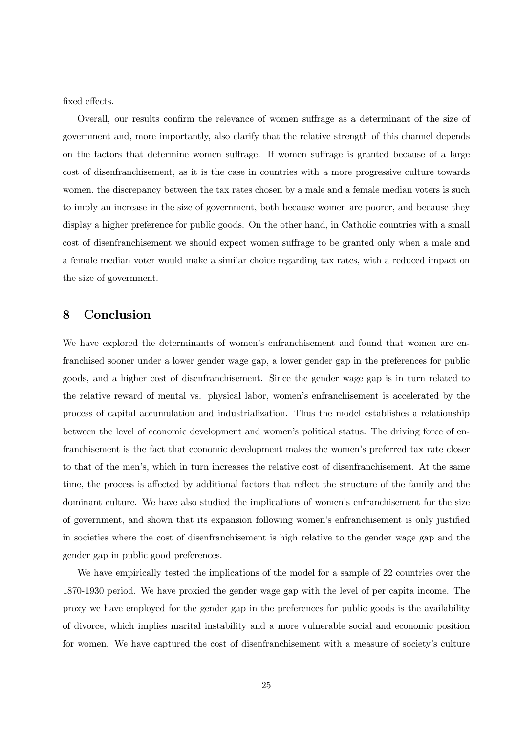fixed effects.

Overall, our results confirm the relevance of women suffrage as a determinant of the size of government and, more importantly, also clarify that the relative strength of this channel depends on the factors that determine women suffrage. If women suffrage is granted because of a large cost of disenfranchisement, as it is the case in countries with a more progressive culture towards women, the discrepancy between the tax rates chosen by a male and a female median voters is such to imply an increase in the size of government, both because women are poorer, and because they display a higher preference for public goods. On the other hand, in Catholic countries with a small cost of disenfranchisement we should expect women suffrage to be granted only when a male and a female median voter would make a similar choice regarding tax rates, with a reduced impact on the size of government.

### 8 Conclusion

We have explored the determinants of women's enfranchisement and found that women are enfranchised sooner under a lower gender wage gap, a lower gender gap in the preferences for public goods, and a higher cost of disenfranchisement. Since the gender wage gap is in turn related to the relative reward of mental vs. physical labor, women's enfranchisement is accelerated by the process of capital accumulation and industrialization. Thus the model establishes a relationship between the level of economic development and women's political status. The driving force of enfranchisement is the fact that economic development makes the women's preferred tax rate closer to that of the men's, which in turn increases the relative cost of disenfranchisement. At the same time, the process is affected by additional factors that reflect the structure of the family and the dominant culture. We have also studied the implications of women's enfranchisement for the size of government, and shown that its expansion following women's enfranchisement is only justified in societies where the cost of disenfranchisement is high relative to the gender wage gap and the gender gap in public good preferences.

We have empirically tested the implications of the model for a sample of 22 countries over the 1870-1930 period. We have proxied the gender wage gap with the level of per capita income. The proxy we have employed for the gender gap in the preferences for public goods is the availability of divorce, which implies marital instability and a more vulnerable social and economic position for women. We have captured the cost of disenfranchisement with a measure of society's culture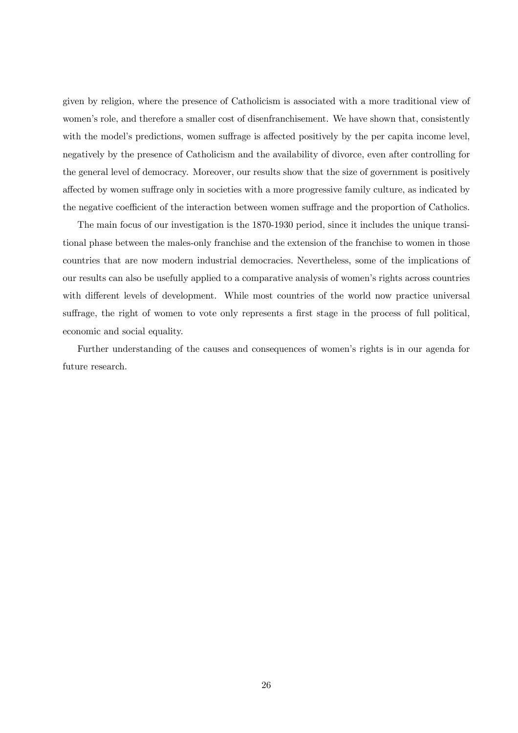given by religion, where the presence of Catholicism is associated with a more traditional view of women's role, and therefore a smaller cost of disenfranchisement. We have shown that, consistently with the model's predictions, women suffrage is affected positively by the per capita income level, negatively by the presence of Catholicism and the availability of divorce, even after controlling for the general level of democracy. Moreover, our results show that the size of government is positively affected by women suffrage only in societies with a more progressive family culture, as indicated by the negative coefficient of the interaction between women suffrage and the proportion of Catholics.

The main focus of our investigation is the 1870-1930 period, since it includes the unique transitional phase between the males-only franchise and the extension of the franchise to women in those countries that are now modern industrial democracies. Nevertheless, some of the implications of our results can also be usefully applied to a comparative analysis of women's rights across countries with different levels of development. While most countries of the world now practice universal suffrage, the right of women to vote only represents a first stage in the process of full political, economic and social equality.

Further understanding of the causes and consequences of women's rights is in our agenda for future research.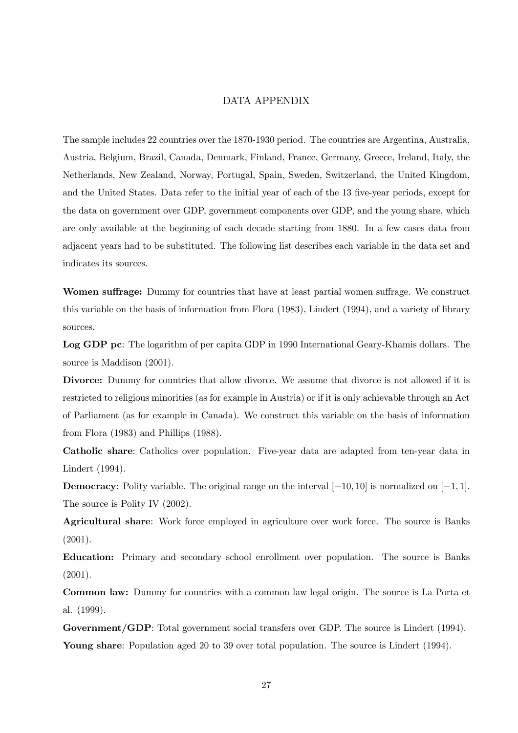### DATA APPENDIX

The sample includes 22 countries over the 1870-1930 period. The countries are Argentina, Australia, Austria, Belgium, Brazil, Canada, Denmark, Finland, France, Germany, Greece, Ireland, Italy, the Netherlands, New Zealand, Norway, Portugal, Spain, Sweden, Switzerland, the United Kingdom, and the United States. Data refer to the initial year of each of the 13 five-year periods, except for the data on government over GDP, government components over GDP, and the young share, which are only available at the beginning of each decade starting from 1880. In a few cases data from adjacent years had to be substituted. The following list describes each variable in the data set and indicates its sources.

Women suffrage: Dummy for countries that have at least partial women suffrage. We construct this variable on the basis of information from Flora (1983), Lindert (1994), and a variety of library sources.

Log GDP pc: The logarithm of per capita GDP in 1990 International Geary-Khamis dollars. The source is Maddison (2001).

Divorce: Dummy for countries that allow divorce. We assume that divorce is not allowed if it is restricted to religious minorities (as for example in Austria) or if it is only achievable through an Act of Parliament (as for example in Canada). We construct this variable on the basis of information from Flora (1983) and Phillips (1988).

Catholic share: Catholics over population. Five-year data are adapted from ten-year data in Lindert (1994).

**Democracy**: Polity variable. The original range on the interval  $[-10, 10]$  is normalized on  $[-1, 1]$ . The source is Polity IV  $(2002)$ .

Agricultural share: Work force employed in agriculture over work force. The source is Banks  $(2001).$ 

Education: Primary and secondary school enrollment over population. The source is Banks (2001).

Common law: Dummy for countries with a common law legal origin. The source is La Porta et al. (1999).

Government/GDP: Total government social transfers over GDP. The source is Lindert (1994). Young share: Population aged 20 to 39 over total population. The source is Lindert (1994).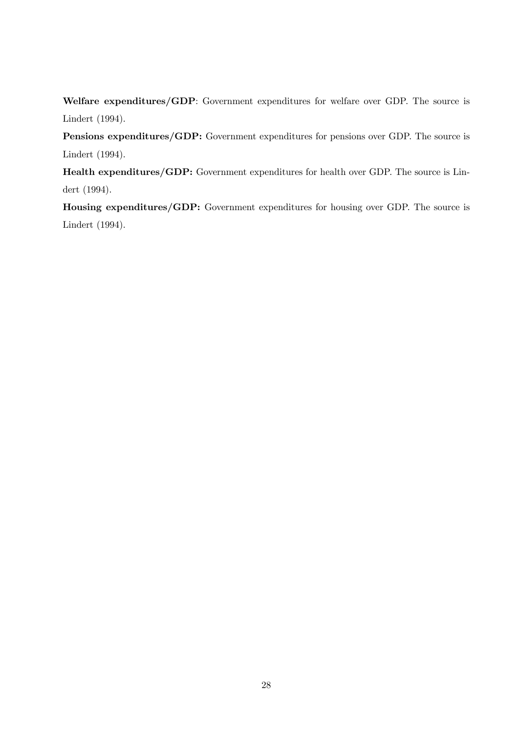Welfare expenditures/GDP: Government expenditures for welfare over GDP. The source is Lindert (1994).

Pensions expenditures/GDP: Government expenditures for pensions over GDP. The source is Lindert (1994).

Health expenditures/GDP: Government expenditures for health over GDP. The source is Lindert (1994).

Housing expenditures/GDP: Government expenditures for housing over GDP. The source is Lindert (1994).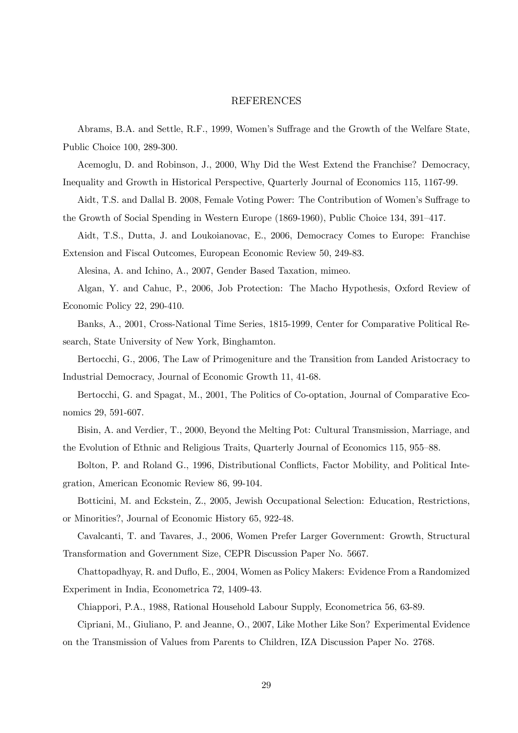### REFERENCES

Abrams, B.A. and Settle, R.F., 1999, Women's Suffrage and the Growth of the Welfare State, Public Choice 100, 289-300.

Acemoglu, D. and Robinson, J., 2000, Why Did the West Extend the Franchise? Democracy, Inequality and Growth in Historical Perspective, Quarterly Journal of Economics 115, 1167-99.

Aidt, T.S. and Dallal B. 2008, Female Voting Power: The Contribution of Women's Suffrage to the Growth of Social Spending in Western Europe (1869-1960), Public Choice 134, 391—417.

Aidt, T.S., Dutta, J. and Loukoianovac, E., 2006, Democracy Comes to Europe: Franchise Extension and Fiscal Outcomes, European Economic Review 50, 249-83.

Alesina, A. and Ichino, A., 2007, Gender Based Taxation, mimeo.

Algan, Y. and Cahuc, P., 2006, Job Protection: The Macho Hypothesis, Oxford Review of Economic Policy 22, 290-410.

Banks, A., 2001, Cross-National Time Series, 1815-1999, Center for Comparative Political Research, State University of New York, Binghamton.

Bertocchi, G., 2006, The Law of Primogeniture and the Transition from Landed Aristocracy to Industrial Democracy, Journal of Economic Growth 11, 41-68.

Bertocchi, G. and Spagat, M., 2001, The Politics of Co-optation, Journal of Comparative Economics 29, 591-607.

Bisin, A. and Verdier, T., 2000, Beyond the Melting Pot: Cultural Transmission, Marriage, and the Evolution of Ethnic and Religious Traits, Quarterly Journal of Economics 115, 955—88.

Bolton, P. and Roland G., 1996, Distributional Conflicts, Factor Mobility, and Political Integration, American Economic Review 86, 99-104.

Botticini, M. and Eckstein, Z., 2005, Jewish Occupational Selection: Education, Restrictions, or Minorities?, Journal of Economic History 65, 922-48.

Cavalcanti, T. and Tavares, J., 2006, Women Prefer Larger Government: Growth, Structural Transformation and Government Size, CEPR Discussion Paper No. 5667.

Chattopadhyay, R. and Duflo, E., 2004, Women as Policy Makers: Evidence From a Randomized Experiment in India, Econometrica 72, 1409-43.

Chiappori, P.A., 1988, Rational Household Labour Supply, Econometrica 56, 63-89.

Cipriani, M., Giuliano, P. and Jeanne, O., 2007, Like Mother Like Son? Experimental Evidence on the Transmission of Values from Parents to Children, IZA Discussion Paper No. 2768.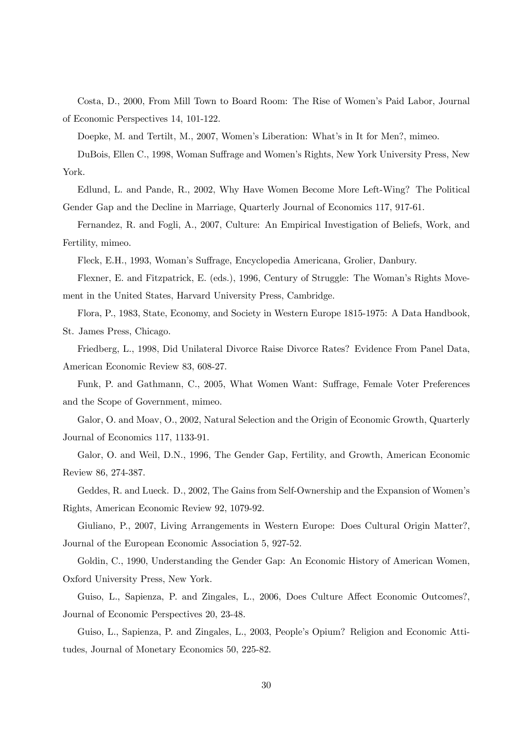Costa, D., 2000, From Mill Town to Board Room: The Rise of Women's Paid Labor, Journal of Economic Perspectives 14, 101-122.

Doepke, M. and Tertilt, M., 2007, Women's Liberation: What's in It for Men?, mimeo.

DuBois, Ellen C., 1998, Woman Suffrage and Women's Rights, New York University Press, New York.

Edlund, L. and Pande, R., 2002, Why Have Women Become More Left-Wing? The Political Gender Gap and the Decline in Marriage, Quarterly Journal of Economics 117, 917-61.

Fernandez, R. and Fogli, A., 2007, Culture: An Empirical Investigation of Beliefs, Work, and Fertility, mimeo.

Fleck, E.H., 1993, Woman's Suffrage, Encyclopedia Americana, Grolier, Danbury.

Flexner, E. and Fitzpatrick, E. (eds.), 1996, Century of Struggle: The Woman's Rights Movement in the United States, Harvard University Press, Cambridge.

Flora, P., 1983, State, Economy, and Society in Western Europe 1815-1975: A Data Handbook, St. James Press, Chicago.

Friedberg, L., 1998, Did Unilateral Divorce Raise Divorce Rates? Evidence From Panel Data, American Economic Review 83, 608-27.

Funk, P. and Gathmann, C., 2005, What Women Want: Suffrage, Female Voter Preferences and the Scope of Government, mimeo.

Galor, O. and Moav, O., 2002, Natural Selection and the Origin of Economic Growth, Quarterly Journal of Economics 117, 1133-91.

Galor, O. and Weil, D.N., 1996, The Gender Gap, Fertility, and Growth, American Economic Review 86, 274-387.

Geddes, R. and Lueck. D., 2002, The Gains from Self-Ownership and the Expansion of Women's Rights, American Economic Review 92, 1079-92.

Giuliano, P., 2007, Living Arrangements in Western Europe: Does Cultural Origin Matter?, Journal of the European Economic Association 5, 927-52.

Goldin, C., 1990, Understanding the Gender Gap: An Economic History of American Women, Oxford University Press, New York.

Guiso, L., Sapienza, P. and Zingales, L., 2006, Does Culture Affect Economic Outcomes?, Journal of Economic Perspectives 20, 23-48.

Guiso, L., Sapienza, P. and Zingales, L., 2003, People's Opium? Religion and Economic Attitudes, Journal of Monetary Economics 50, 225-82.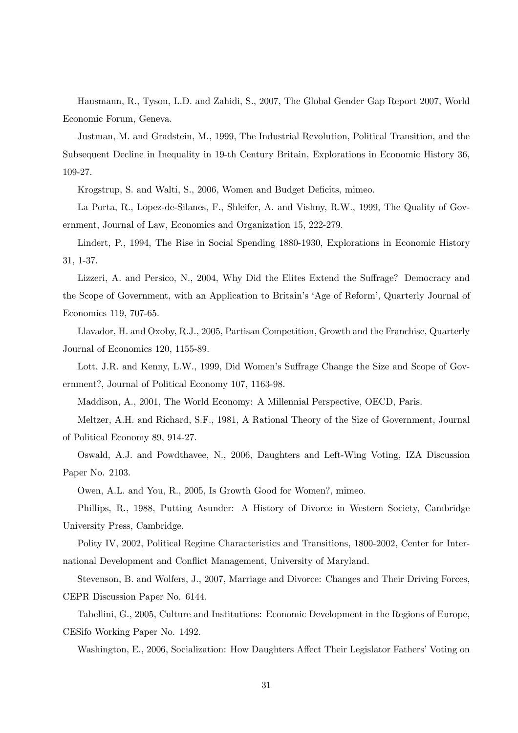Hausmann, R., Tyson, L.D. and Zahidi, S., 2007, The Global Gender Gap Report 2007, World Economic Forum, Geneva.

Justman, M. and Gradstein, M., 1999, The Industrial Revolution, Political Transition, and the Subsequent Decline in Inequality in 19-th Century Britain, Explorations in Economic History 36, 109-27.

Krogstrup, S. and Walti, S., 2006, Women and Budget Deficits, mimeo.

La Porta, R., Lopez-de-Silanes, F., Shleifer, A. and Vishny, R.W., 1999, The Quality of Government, Journal of Law, Economics and Organization 15, 222-279.

Lindert, P., 1994, The Rise in Social Spending 1880-1930, Explorations in Economic History 31, 1-37.

Lizzeri, A. and Persico, N., 2004, Why Did the Elites Extend the Suffrage? Democracy and the Scope of Government, with an Application to Britain's 'Age of Reform', Quarterly Journal of Economics 119, 707-65.

Llavador, H. and Oxoby, R.J., 2005, Partisan Competition, Growth and the Franchise, Quarterly Journal of Economics 120, 1155-89.

Lott, J.R. and Kenny, L.W., 1999, Did Women's Suffrage Change the Size and Scope of Government?, Journal of Political Economy 107, 1163-98.

Maddison, A., 2001, The World Economy: A Millennial Perspective, OECD, Paris.

Meltzer, A.H. and Richard, S.F., 1981, A Rational Theory of the Size of Government, Journal of Political Economy 89, 914-27.

Oswald, A.J. and Powdthavee, N., 2006, Daughters and Left-Wing Voting, IZA Discussion Paper No. 2103.

Owen, A.L. and You, R., 2005, Is Growth Good for Women?, mimeo.

Phillips, R., 1988, Putting Asunder: A History of Divorce in Western Society, Cambridge University Press, Cambridge.

Polity IV, 2002, Political Regime Characteristics and Transitions, 1800-2002, Center for International Development and Conflict Management, University of Maryland.

Stevenson, B. and Wolfers, J., 2007, Marriage and Divorce: Changes and Their Driving Forces, CEPR Discussion Paper No. 6144.

Tabellini, G., 2005, Culture and Institutions: Economic Development in the Regions of Europe, CESifo Working Paper No. 1492.

Washington, E., 2006, Socialization: How Daughters Affect Their Legislator Fathers' Voting on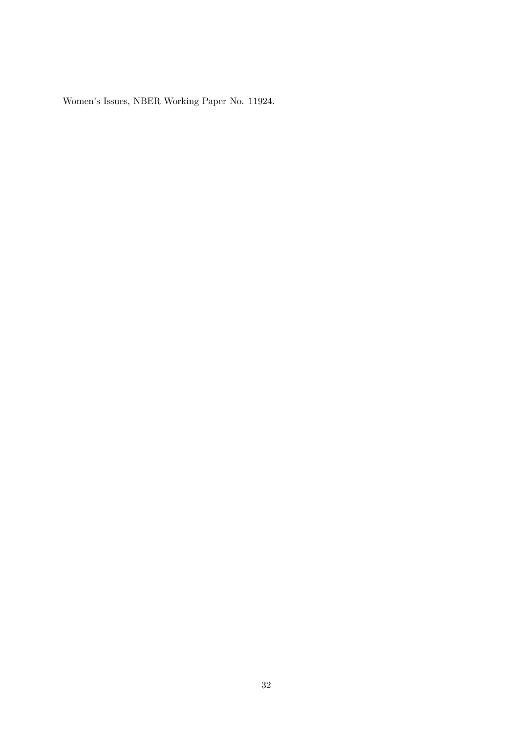Women's Issues, NBER Working Paper No. 11924.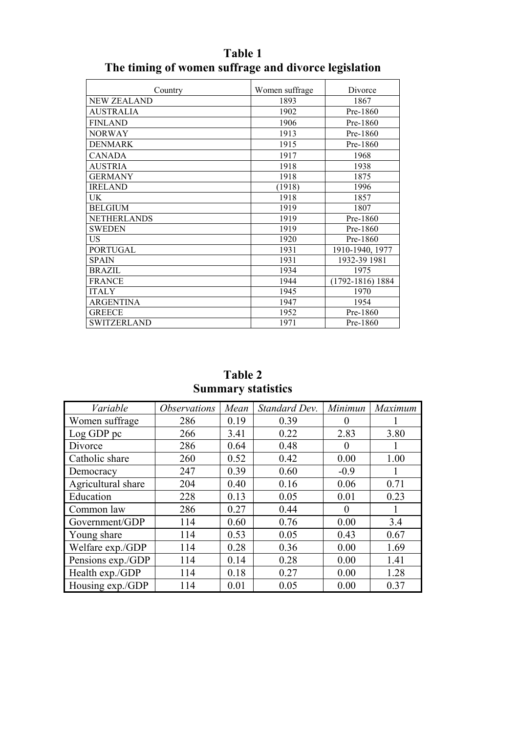| Country            | Women suffrage | Divorce              |
|--------------------|----------------|----------------------|
| NEW ZEALAND        | 1893           | 1867                 |
| <b>AUSTRALIA</b>   | 1902           | Pre-1860             |
| <b>FINLAND</b>     | 1906           | Pre-1860             |
| <b>NORWAY</b>      | 1913           | Pre-1860             |
| <b>DENMARK</b>     | 1915           | Pre-1860             |
| <b>CANADA</b>      | 1917           | 1968                 |
| <b>AUSTRIA</b>     | 1918           | 1938                 |
| <b>GERMANY</b>     | 1918           | 1875                 |
| <b>IRELAND</b>     | (1918)         | 1996                 |
| UK                 | 1918           | 1857                 |
| <b>BELGIUM</b>     | 1919           | 1807                 |
| <b>NETHERLANDS</b> | 1919           | Pre-1860             |
| <b>SWEDEN</b>      | 1919           | Pre-1860             |
| US                 | 1920           | Pre-1860             |
| <b>PORTUGAL</b>    | 1931           | 1910-1940, 1977      |
| <b>SPAIN</b>       | 1931           | 1932-39 1981         |
| <b>BRAZIL</b>      | 1934           | 1975                 |
| <b>FRANCE</b>      | 1944           | $(1792 - 1816)$ 1884 |
| <b>ITALY</b>       | 1945           | 1970                 |
| ARGENTINA          | 1947           | 1954                 |
| <b>GREECE</b>      | 1952           | Pre-1860             |
| <b>SWITZERLAND</b> | 1971           | Pre-1860             |

**Table 1 The timing of women suffrage and divorce legislation** 

**Table 2 Summary statistics**

| Variable           | <i><b>Observations</b></i> | Mean | Standard Dev. | Minimun  | Maximum |
|--------------------|----------------------------|------|---------------|----------|---------|
| Women suffrage     | 286                        | 0.19 | 0.39          | $\theta$ |         |
| Log GDP pc         | 266                        | 3.41 | 0.22          | 2.83     | 3.80    |
| Divorce            | 286                        | 0.64 | 0.48          | 0        | I.      |
| Catholic share     | 260                        | 0.52 | 0.42          | 0.00     | 1.00    |
| Democracy          | 247                        | 0.39 | 0.60          | $-0.9$   |         |
| Agricultural share | 204                        | 0.40 | 0.16          | 0.06     | 0.71    |
| Education          | 228                        | 0.13 | 0.05          | 0.01     | 0.23    |
| Common law         | 286                        | 0.27 | 0.44          | $\Omega$ |         |
| Government/GDP     | 114                        | 0.60 | 0.76          | 0.00     | 3.4     |
| Young share        | 114                        | 0.53 | 0.05          | 0.43     | 0.67    |
| Welfare exp./GDP   | 114                        | 0.28 | 0.36          | 0.00     | 1.69    |
| Pensions exp./GDP  | 114                        | 0.14 | 0.28          | 0.00     | 1.41    |
| Health exp./GDP    | 114                        | 0.18 | 0.27          | 0.00     | 1.28    |
| Housing exp./GDP   | 114                        | 0.01 | 0.05          | 0.00     | 0.37    |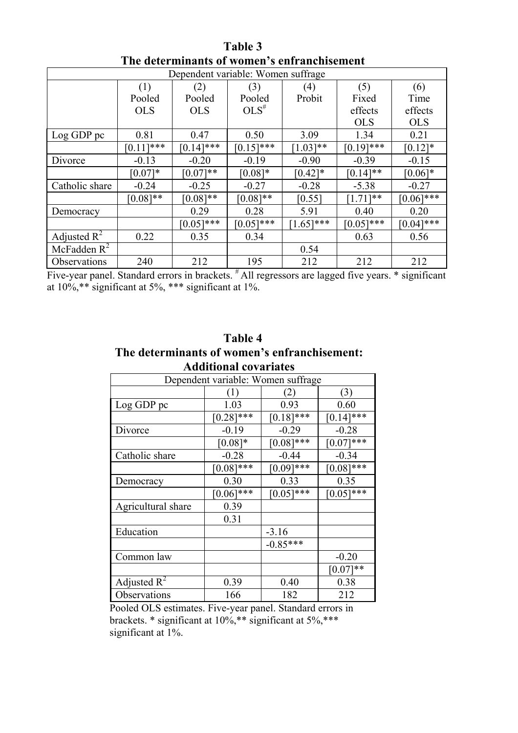| Dependent variable: Women suffrage |             |              |             |             |              |              |
|------------------------------------|-------------|--------------|-------------|-------------|--------------|--------------|
|                                    | (1)         | (2)          | (3)         | (4)         | (5)          | (6)          |
|                                    | Pooled      | Pooled       | Pooled      | Probit      | Fixed        | Time         |
|                                    | <b>OLS</b>  | <b>OLS</b>   | $OLS^{\#}$  |             | effects      | effects      |
|                                    |             |              |             |             | <b>OLS</b>   | <b>OLS</b>   |
| Log GDP pc                         | 0.81        | 0.47         | 0.50        | 3.09        | 1.34         | 0.21         |
|                                    | $[0.11]***$ | $[0.14]$ *** | $[0.15]***$ | $[1.03]**$  | $[0.19]$ *** | $[0.12]*$    |
| Divorce                            | $-0.13$     | $-0.20$      | $-0.19$     | $-0.90$     | $-0.39$      | $-0.15$      |
|                                    | $[0.07]*$   | $[0.07]**$   | $[0.08]*$   | $[0.42]*$   | $[0.14]**$   | $[0.06]$ *   |
| Catholic share                     | $-0.24$     | $-0.25$      | $-0.27$     | $-0.28$     | $-5.38$      | $-0.27$      |
|                                    | $[0.08]**$  | $[0.08]$ **  | $[0.08]$ ** | [0.55]      | $[1.71]**$   | $[0.06]$ *** |
| Democracy                          |             | 0.29         | 0.28        | 5.91        | 0.40         | 0.20         |
|                                    |             | $[0.05]$ *** | $[0.05]***$ | $1.65$ ]*** | $[0.05]$ *** | $[0.04]$ *** |
| Adjusted $\mathbb{R}^2$            | 0.22        | 0.35         | 0.34        |             | 0.63         | 0.56         |
| McFadden $R^2$                     |             |              |             | 0.54        |              |              |
| Observations                       | 240         | 212          | 195         | 212         | 212          | 212          |

**Table 3 The determinants of women's enfranchisement**

Five-year panel. Standard errors in brackets. <sup>#</sup> All regressors are lagged five years. \* significant at 10%,\*\* significant at 5%, \*\*\* significant at 1%.

# **Table 4 The determinants of women's enfranchisement: Additional covariates**

| Dependent variable: Women suffrage |              |              |              |  |  |
|------------------------------------|--------------|--------------|--------------|--|--|
|                                    | ( 1 )        | (2)          | (3)          |  |  |
| Log GDP pc                         | 1.03         | 0.93         | 0.60         |  |  |
|                                    | $[0.28]$ *** | $[0.18]$ *** | $[0.14]$ *** |  |  |
| Divorce                            | $-0.19$      | $-0.29$      | $-0.28$      |  |  |
|                                    | $[0.08]*$    | $[0.08]$ *** | $[0.07]***$  |  |  |
| Catholic share                     | $-0.28$      | $-0.44$      | $-0.34$      |  |  |
|                                    | $[0.08]$ *** | $[0.09]$ *** | $[0.08]$ *** |  |  |
| Democracy                          | 0.30         | 0.33         | 0.35         |  |  |
|                                    | $[0.06]$ *** | $[0.05]$ *** | $[0.05]$ *** |  |  |
| Agricultural share                 | 0.39         |              |              |  |  |
|                                    | 0.31         |              |              |  |  |
| Education                          |              | $-3.16$      |              |  |  |
|                                    |              | $-0.85***$   |              |  |  |
| Common law                         |              |              | $-0.20$      |  |  |
|                                    |              |              | $[0.07]**$   |  |  |
| Adjusted $R^2$                     | 0.39         | 0.40         | 0.38         |  |  |
| Observations                       | 166          | 182          | 212          |  |  |
|                                    |              |              |              |  |  |

Pooled OLS estimates. Five-year panel. Standard errors in brackets. \* significant at 10%,\*\* significant at 5%,\*\*\* significant at 1%.